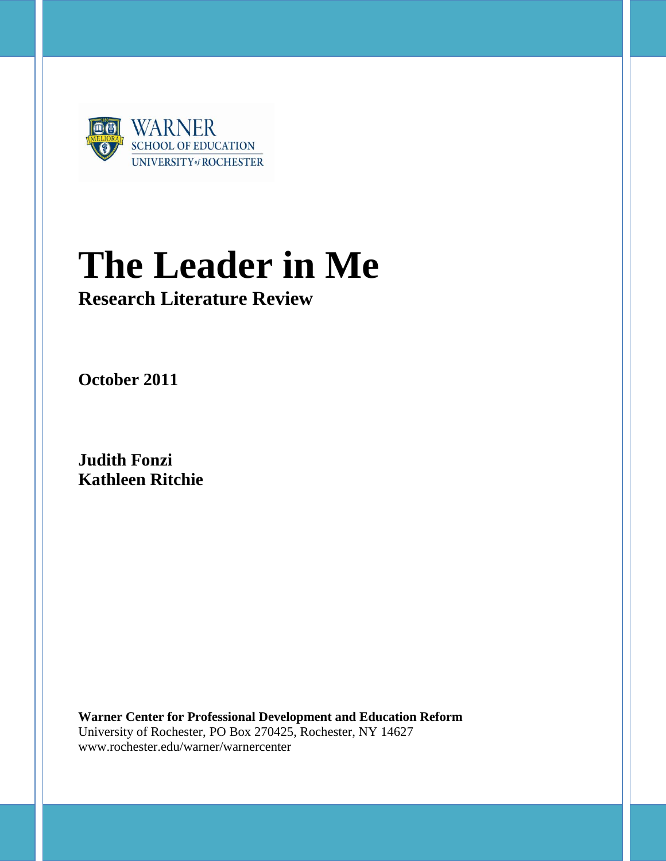

# **The Leader in Me**

## **Research Literature Review**

**October 2011**

**Judith Fonzi Kathleen Ritchie**

**Warner Center for Professional Development and Education Reform** University of Rochester, PO Box 270425, Rochester, NY 14627 www.rochester.edu/warner/warnercenter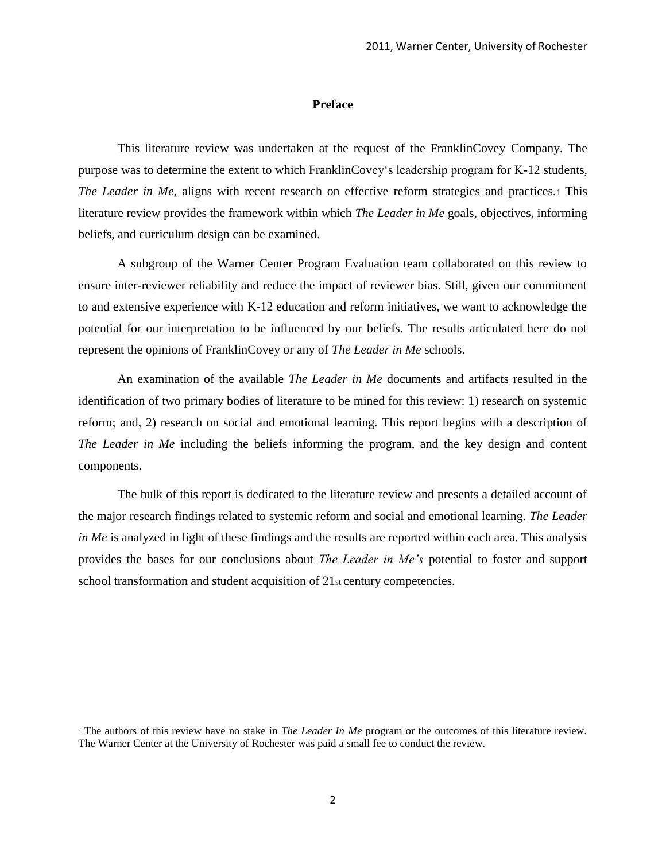#### **Preface**

This literature review was undertaken at the request of the FranklinCovey Company. The purpose was to determine the extent to which FranklinCovey‗s leadership program for K-12 students, *The Leader in Me,* aligns with recent research on effective reform strategies and practices.1 This literature review provides the framework within which *The Leader in Me* goals, objectives, informing beliefs, and curriculum design can be examined.

A subgroup of the Warner Center Program Evaluation team collaborated on this review to ensure inter-reviewer reliability and reduce the impact of reviewer bias. Still, given our commitment to and extensive experience with K-12 education and reform initiatives, we want to acknowledge the potential for our interpretation to be influenced by our beliefs. The results articulated here do not represent the opinions of FranklinCovey or any of *The Leader in Me* schools.

An examination of the available *The Leader in Me* documents and artifacts resulted in the identification of two primary bodies of literature to be mined for this review: 1) research on systemic reform; and, 2) research on social and emotional learning. This report begins with a description of *The Leader in Me* including the beliefs informing the program, and the key design and content components.

The bulk of this report is dedicated to the literature review and presents a detailed account of the major research findings related to systemic reform and social and emotional learning. *The Leader in Me* is analyzed in light of these findings and the results are reported within each area. This analysis provides the bases for our conclusions about *The Leader in Me's* potential to foster and support school transformation and student acquisition of 21st century competencies.

<sup>1</sup>The authors of this review have no stake in *The Leader In Me* program or the outcomes of this literature review. The Warner Center at the University of Rochester was paid a small fee to conduct the review.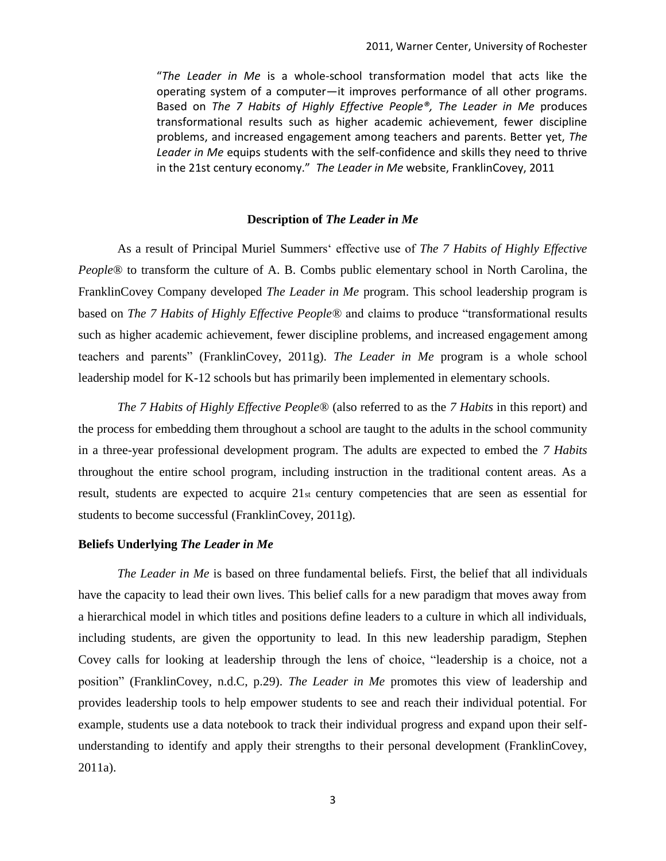"*The Leader in Me* is a whole-school transformation model that acts like the operating system of a computer—it improves performance of all other programs. Based on *The 7 Habits of Highly Effective People®, The Leader in Me* produces transformational results such as higher academic achievement, fewer discipline problems, and increased engagement among teachers and parents. Better yet, *The Leader in Me* equips students with the self-confidence and skills they need to thrive in the 21st century economy." *The Leader in Me* website, FranklinCovey, 2011

#### **Description of** *The Leader in Me*

As a result of Principal Muriel Summers‗ effective use of *The 7 Habits of Highly Effective People*® to transform the culture of A. B. Combs public elementary school in North Carolina, the FranklinCovey Company developed *The Leader in Me* program. This school leadership program is based on *The 7 Habits of Highly Effective People*® and claims to produce "transformational results" such as higher academic achievement, fewer discipline problems, and increased engagement among teachers and parents" (FranklinCovey, 2011g). *The Leader in Me* program is a whole school leadership model for K-12 schools but has primarily been implemented in elementary schools.

*The 7 Habits of Highly Effective People*® (also referred to as the *7 Habits* in this report) and the process for embedding them throughout a school are taught to the adults in the school community in a three-year professional development program. The adults are expected to embed the *7 Habits*  throughout the entire school program, including instruction in the traditional content areas. As a result, students are expected to acquire 21st century competencies that are seen as essential for students to become successful (FranklinCovey, 2011g).

#### **Beliefs Underlying** *The Leader in Me*

*The Leader in Me* is based on three fundamental beliefs. First, the belief that all individuals have the capacity to lead their own lives. This belief calls for a new paradigm that moves away from a hierarchical model in which titles and positions define leaders to a culture in which all individuals, including students, are given the opportunity to lead. In this new leadership paradigm, Stephen Covey calls for looking at leadership through the lens of choice, "leadership is a choice, not a position" (FranklinCovey, n.d.C, p.29). *The Leader in Me* promotes this view of leadership and provides leadership tools to help empower students to see and reach their individual potential. For example, students use a data notebook to track their individual progress and expand upon their selfunderstanding to identify and apply their strengths to their personal development (FranklinCovey, 2011a).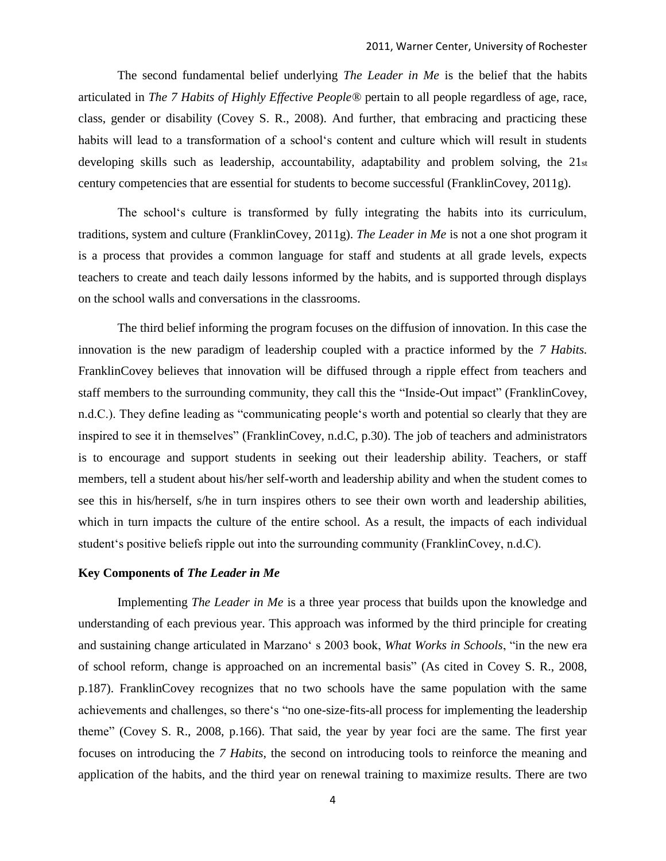The second fundamental belief underlying *The Leader in Me* is the belief that the habits articulated in *The 7 Habits of Highly Effective People®* pertain to all people regardless of age, race, class, gender or disability (Covey S. R., 2008). And further, that embracing and practicing these habits will lead to a transformation of a school's content and culture which will result in students developing skills such as leadership, accountability, adaptability and problem solving, the 21st century competencies that are essential for students to become successful (FranklinCovey, 2011g).

The school‗s culture is transformed by fully integrating the habits into its curriculum, traditions, system and culture (FranklinCovey, 2011g). *The Leader in Me* is not a one shot program it is a process that provides a common language for staff and students at all grade levels, expects teachers to create and teach daily lessons informed by the habits, and is supported through displays on the school walls and conversations in the classrooms.

The third belief informing the program focuses on the diffusion of innovation. In this case the innovation is the new paradigm of leadership coupled with a practice informed by the *7 Habits.*  FranklinCovey believes that innovation will be diffused through a ripple effect from teachers and staff members to the surrounding community, they call this the "Inside-Out impact" (FranklinCovey, n.d.C.). They define leading as "communicating people's worth and potential so clearly that they are inspired to see it in themselves" (FranklinCovey, n.d.C, p.30). The job of teachers and administrators is to encourage and support students in seeking out their leadership ability. Teachers, or staff members, tell a student about his/her self-worth and leadership ability and when the student comes to see this in his/herself, s/he in turn inspires others to see their own worth and leadership abilities, which in turn impacts the culture of the entire school. As a result, the impacts of each individual student's positive beliefs ripple out into the surrounding community (FranklinCovey, n.d.C).

#### **Key Components of** *The Leader in Me*

Implementing *The Leader in Me* is a three year process that builds upon the knowledge and understanding of each previous year. This approach was informed by the third principle for creating and sustaining change articulated in Marzano<sup>s</sup> s 2003 book, *What Works in Schools*, "in the new era of school reform, change is approached on an incremental basis" (As cited in Covey S. R., 2008, p.187). FranklinCovey recognizes that no two schools have the same population with the same achievements and challenges, so there's "no one-size-fits-all process for implementing the leadership theme" (Covey S. R., 2008, p.166). That said, the year by year foci are the same. The first year focuses on introducing the *7 Habits*, the second on introducing tools to reinforce the meaning and application of the habits, and the third year on renewal training to maximize results. There are two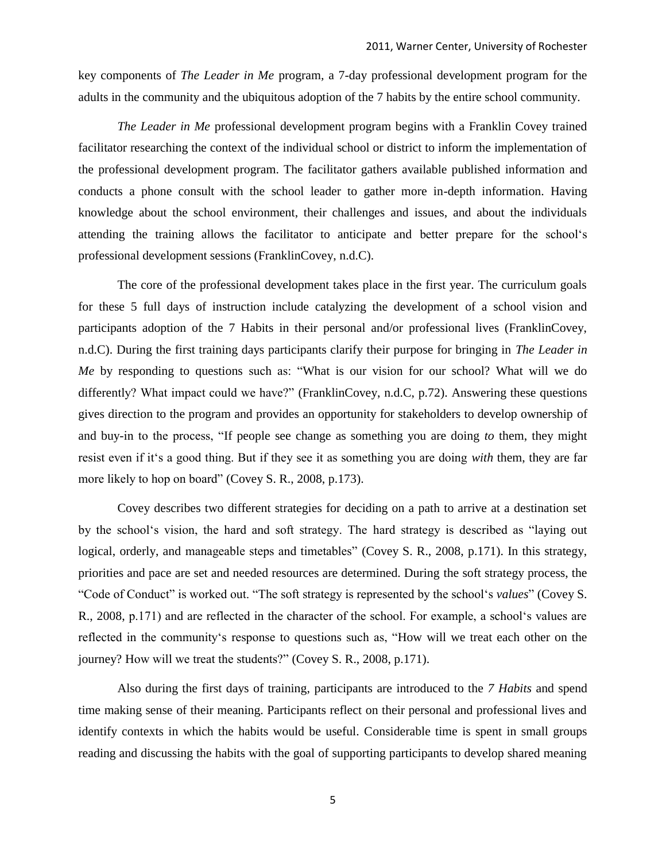key components of *The Leader in Me* program*,* a 7-day professional development program for the adults in the community and the ubiquitous adoption of the 7 habits by the entire school community.

*The Leader in Me* professional development program begins with a Franklin Covey trained facilitator researching the context of the individual school or district to inform the implementation of the professional development program. The facilitator gathers available published information and conducts a phone consult with the school leader to gather more in-depth information. Having knowledge about the school environment, their challenges and issues, and about the individuals attending the training allows the facilitator to anticipate and better prepare for the school's professional development sessions (FranklinCovey, n.d.C).

The core of the professional development takes place in the first year. The curriculum goals for these 5 full days of instruction include catalyzing the development of a school vision and participants adoption of the 7 Habits in their personal and/or professional lives (FranklinCovey, n.d.C). During the first training days participants clarify their purpose for bringing in *The Leader in Me* by responding to questions such as: "What is our vision for our school? What will we do differently? What impact could we have?" (FranklinCovey, n.d.C, p.72). Answering these questions gives direction to the program and provides an opportunity for stakeholders to develop ownership of and buy-in to the process, "If people see change as something you are doing *to* them, they might resist even if it's a good thing. But if they see it as something you are doing *with* them, they are far more likely to hop on board" (Covey S. R., 2008, p.173).

Covey describes two different strategies for deciding on a path to arrive at a destination set by the school's vision, the hard and soft strategy. The hard strategy is described as "laying out logical, orderly, and manageable steps and timetables" (Covey S. R., 2008, p.171). In this strategy, priorities and pace are set and needed resources are determined. During the soft strategy process, the ―Code of Conduct‖ is worked out. ―The soft strategy is represented by the school‗s *values*‖ (Covey S. R., 2008, p.171) and are reflected in the character of the school. For example, a school's values are reflected in the community's response to questions such as, "How will we treat each other on the journey? How will we treat the students?" (Covey S. R., 2008, p.171).

Also during the first days of training, participants are introduced to the *7 Habits* and spend time making sense of their meaning. Participants reflect on their personal and professional lives and identify contexts in which the habits would be useful. Considerable time is spent in small groups reading and discussing the habits with the goal of supporting participants to develop shared meaning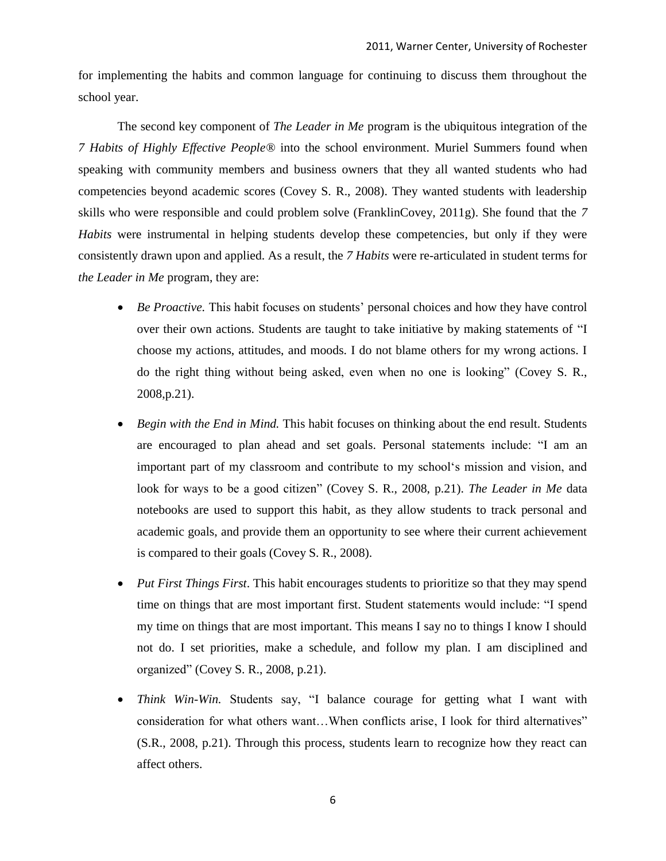for implementing the habits and common language for continuing to discuss them throughout the school year.

The second key component of *The Leader in Me* program is the ubiquitous integration of the *7 Habits of Highly Effective People®* into the school environment. Muriel Summers found when speaking with community members and business owners that they all wanted students who had competencies beyond academic scores (Covey S. R., 2008). They wanted students with leadership skills who were responsible and could problem solve (FranklinCovey, 2011g). She found that the *7 Habits* were instrumental in helping students develop these competencies, but only if they were consistently drawn upon and applied. As a result, the *7 Habits* were re-articulated in student terms for *the Leader in Me* program, they are:

- *Be Proactive.* This habit focuses on students' personal choices and how they have control over their own actions. Students are taught to take initiative by making statements of "I choose my actions, attitudes, and moods. I do not blame others for my wrong actions. I do the right thing without being asked, even when no one is looking" (Covey S. R., 2008,p.21).
- *Begin with the End in Mind.* This habit focuses on thinking about the end result. Students are encouraged to plan ahead and set goals. Personal statements include: "I am an important part of my classroom and contribute to my school's mission and vision, and look for ways to be a good citizen" (Covey S. R., 2008, p.21). *The Leader in Me* data notebooks are used to support this habit, as they allow students to track personal and academic goals, and provide them an opportunity to see where their current achievement is compared to their goals (Covey S. R., 2008).
- *Put First Things First*. This habit encourages students to prioritize so that they may spend time on things that are most important first. Student statements would include: "I spend my time on things that are most important. This means I say no to things I know I should not do. I set priorities, make a schedule, and follow my plan. I am disciplined and organized" (Covey S. R., 2008, p.21).
- *Think Win-Win.* Students say, "I balance courage for getting what I want with consideration for what others want...When conflicts arise, I look for third alternatives" (S.R., 2008, p.21). Through this process, students learn to recognize how they react can affect others.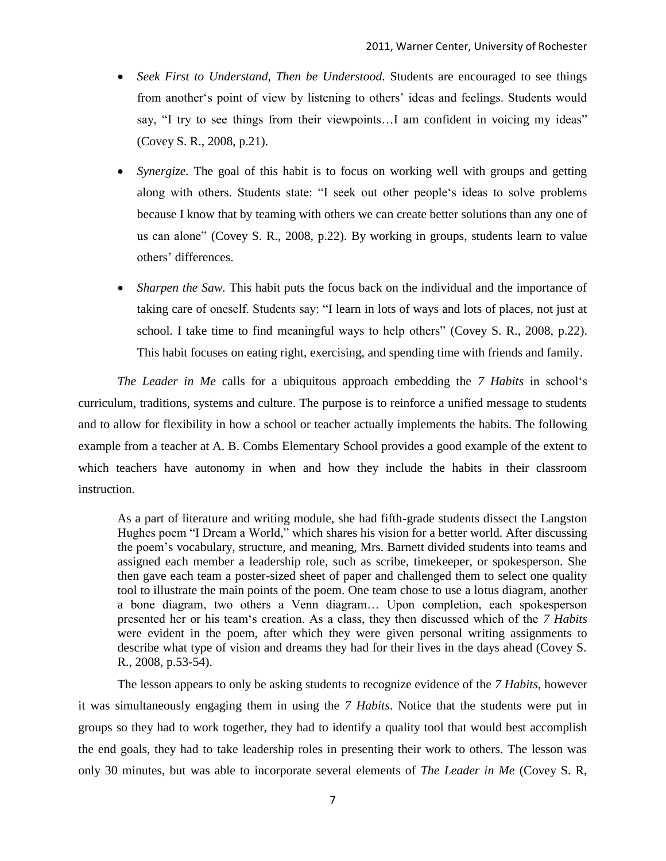- *Seek First to Understand, Then be Understood.* Students are encouraged to see things from another's point of view by listening to others' ideas and feelings. Students would say, "I try to see things from their viewpoints...I am confident in voicing my ideas" (Covey S. R., 2008, p.21).
- *Synergize.* The goal of this habit is to focus on working well with groups and getting along with others. Students state: "I seek out other people's ideas to solve problems because I know that by teaming with others we can create better solutions than any one of us can alone" (Covey S. R., 2008, p.22). By working in groups, students learn to value others' differences.
- *Sharpen the Saw.* This habit puts the focus back on the individual and the importance of taking care of oneself. Students say: "I learn in lots of ways and lots of places, not just at school. I take time to find meaningful ways to help others" (Covey S. R., 2008, p.22). This habit focuses on eating right, exercising, and spending time with friends and family.

*The Leader in Me* calls for a ubiquitous approach embedding the *7 Habits* in school's curriculum, traditions, systems and culture. The purpose is to reinforce a unified message to students and to allow for flexibility in how a school or teacher actually implements the habits. The following example from a teacher at A. B. Combs Elementary School provides a good example of the extent to which teachers have autonomy in when and how they include the habits in their classroom instruction.

As a part of literature and writing module, she had fifth-grade students dissect the Langston Hughes poem "I Dream a World," which shares his vision for a better world. After discussing the poem's vocabulary, structure, and meaning, Mrs. Barnett divided students into teams and assigned each member a leadership role, such as scribe, timekeeper, or spokesperson. She then gave each team a poster-sized sheet of paper and challenged them to select one quality tool to illustrate the main points of the poem. One team chose to use a lotus diagram, another a bone diagram, two others a Venn diagram… Upon completion, each spokesperson presented her or his team‗s creation. As a class, they then discussed which of the *7 Habits*  were evident in the poem, after which they were given personal writing assignments to describe what type of vision and dreams they had for their lives in the days ahead (Covey S. R., 2008, p.53-54).

The lesson appears to only be asking students to recognize evidence of the *7 Habits*, however it was simultaneously engaging them in using the *7 Habits*. Notice that the students were put in groups so they had to work together, they had to identify a quality tool that would best accomplish the end goals, they had to take leadership roles in presenting their work to others. The lesson was only 30 minutes, but was able to incorporate several elements of *The Leader in Me* (Covey S. R,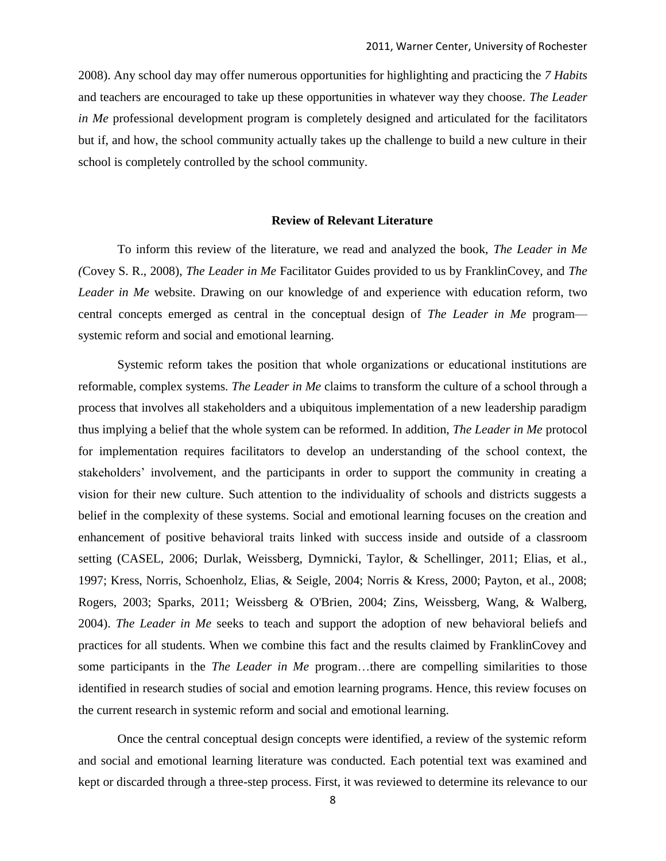2008). Any school day may offer numerous opportunities for highlighting and practicing the *7 Habits*  and teachers are encouraged to take up these opportunities in whatever way they choose. *The Leader in Me* professional development program is completely designed and articulated for the facilitators but if, and how, the school community actually takes up the challenge to build a new culture in their school is completely controlled by the school community.

#### **Review of Relevant Literature**

To inform this review of the literature, we read and analyzed the book, *The Leader in Me (*Covey S. R., 2008), *The Leader in Me* Facilitator Guides provided to us by FranklinCovey, and *The Leader in Me* website. Drawing on our knowledge of and experience with education reform, two central concepts emerged as central in the conceptual design of *The Leader in Me* program systemic reform and social and emotional learning.

Systemic reform takes the position that whole organizations or educational institutions are reformable, complex systems. *The Leader in Me* claims to transform the culture of a school through a process that involves all stakeholders and a ubiquitous implementation of a new leadership paradigm thus implying a belief that the whole system can be reformed. In addition, *The Leader in Me* protocol for implementation requires facilitators to develop an understanding of the school context, the stakeholders' involvement, and the participants in order to support the community in creating a vision for their new culture. Such attention to the individuality of schools and districts suggests a belief in the complexity of these systems. Social and emotional learning focuses on the creation and enhancement of positive behavioral traits linked with success inside and outside of a classroom setting (CASEL, 2006; Durlak, Weissberg, Dymnicki, Taylor, & Schellinger, 2011; Elias, et al., 1997; Kress, Norris, Schoenholz, Elias, & Seigle, 2004; Norris & Kress, 2000; Payton, et al., 2008; Rogers, 2003; Sparks, 2011; Weissberg & O'Brien, 2004; Zins, Weissberg, Wang, & Walberg, 2004). *The Leader in Me* seeks to teach and support the adoption of new behavioral beliefs and practices for all students. When we combine this fact and the results claimed by FranklinCovey and some participants in the *The Leader in Me* program…there are compelling similarities to those identified in research studies of social and emotion learning programs. Hence, this review focuses on the current research in systemic reform and social and emotional learning.

Once the central conceptual design concepts were identified, a review of the systemic reform and social and emotional learning literature was conducted. Each potential text was examined and kept or discarded through a three-step process. First, it was reviewed to determine its relevance to our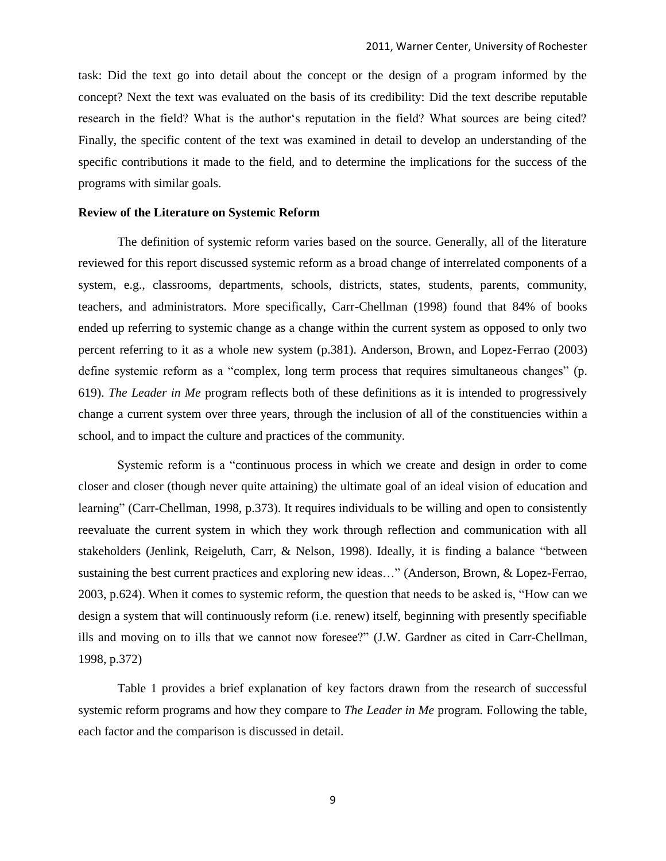task: Did the text go into detail about the concept or the design of a program informed by the concept? Next the text was evaluated on the basis of its credibility: Did the text describe reputable research in the field? What is the author's reputation in the field? What sources are being cited? Finally, the specific content of the text was examined in detail to develop an understanding of the specific contributions it made to the field, and to determine the implications for the success of the programs with similar goals.

#### **Review of the Literature on Systemic Reform**

The definition of systemic reform varies based on the source. Generally, all of the literature reviewed for this report discussed systemic reform as a broad change of interrelated components of a system, e.g., classrooms, departments, schools, districts, states, students, parents, community, teachers, and administrators. More specifically, Carr-Chellman (1998) found that 84% of books ended up referring to systemic change as a change within the current system as opposed to only two percent referring to it as a whole new system (p.381). Anderson, Brown, and Lopez-Ferrao (2003) define systemic reform as a "complex, long term process that requires simultaneous changes" (p. 619). *The Leader in Me* program reflects both of these definitions as it is intended to progressively change a current system over three years, through the inclusion of all of the constituencies within a school, and to impact the culture and practices of the community.

Systemic reform is a "continuous process in which we create and design in order to come closer and closer (though never quite attaining) the ultimate goal of an ideal vision of education and learning" (Carr-Chellman, 1998, p.373). It requires individuals to be willing and open to consistently reevaluate the current system in which they work through reflection and communication with all stakeholders (Jenlink, Reigeluth, Carr, & Nelson, 1998). Ideally, it is finding a balance "between sustaining the best current practices and exploring new ideas..." (Anderson, Brown, & Lopez-Ferrao, 2003, p.624). When it comes to systemic reform, the question that needs to be asked is, "How can we design a system that will continuously reform (i.e. renew) itself, beginning with presently specifiable ills and moving on to ills that we cannot now foresee?" (J.W. Gardner as cited in Carr-Chellman, 1998, p.372)

Table 1 provides a brief explanation of key factors drawn from the research of successful systemic reform programs and how they compare to *The Leader in Me* program*.* Following the table, each factor and the comparison is discussed in detail.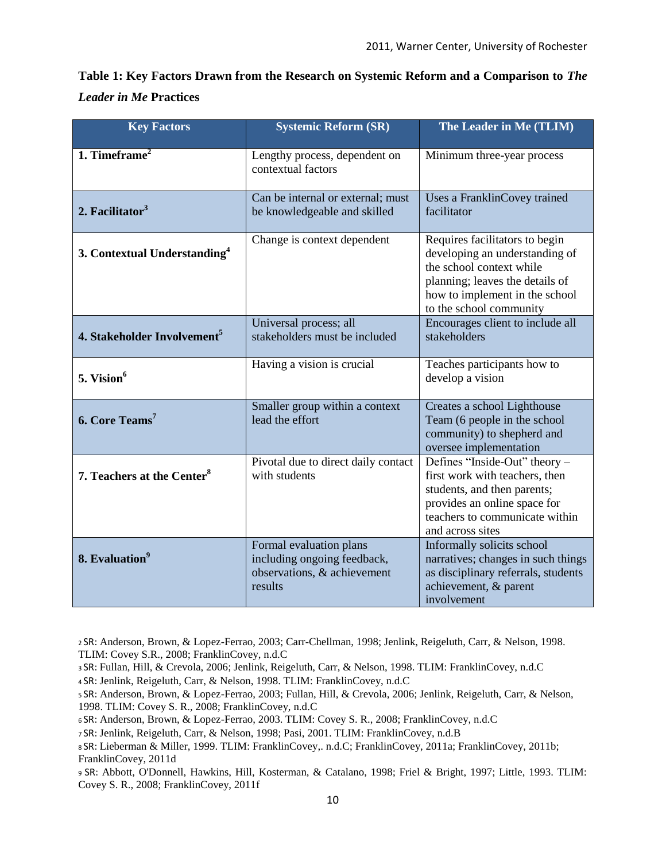| Table 1: Key Factors Drawn from the Research on Systemic Reform and a Comparison to The |  |
|-----------------------------------------------------------------------------------------|--|
| <b>Leader in Me Practices</b>                                                           |  |

| <b>Key Factors</b>                       | <b>Systemic Reform (SR)</b>                                                                      | The Leader in Me (TLIM)                                                                                                                                                                      |
|------------------------------------------|--------------------------------------------------------------------------------------------------|----------------------------------------------------------------------------------------------------------------------------------------------------------------------------------------------|
| 1. Timeframe $2$                         | Lengthy process, dependent on<br>contextual factors                                              | Minimum three-year process                                                                                                                                                                   |
| 2. Facilitator $3$                       | Can be internal or external; must<br>be knowledgeable and skilled                                | Uses a FranklinCovey trained<br>facilitator                                                                                                                                                  |
| 3. Contextual Understanding <sup>4</sup> | Change is context dependent                                                                      | Requires facilitators to begin<br>developing an understanding of<br>the school context while<br>planning; leaves the details of<br>how to implement in the school<br>to the school community |
| 4. Stakeholder Involvement <sup>5</sup>  | Universal process; all<br>stakeholders must be included                                          | Encourages client to include all<br>stakeholders                                                                                                                                             |
| 5. Vision <sup>6</sup>                   | Having a vision is crucial                                                                       | Teaches participants how to<br>develop a vision                                                                                                                                              |
| 6. Core Teams <sup>7</sup>               | Smaller group within a context<br>lead the effort                                                | Creates a school Lighthouse<br>Team (6 people in the school<br>community) to shepherd and<br>oversee implementation                                                                          |
| 7. Teachers at the Center <sup>8</sup>   | Pivotal due to direct daily contact<br>with students                                             | Defines "Inside-Out" theory -<br>first work with teachers, then<br>students, and then parents;<br>provides an online space for<br>teachers to communicate within<br>and across sites         |
| 8. Evaluation <sup>9</sup>               | Formal evaluation plans<br>including ongoing feedback,<br>observations, & achievement<br>results | Informally solicits school<br>narratives; changes in such things<br>as disciplinary referrals, students<br>achievement, & parent<br>involvement                                              |

<sup>2</sup>SR: Anderson, Brown, & Lopez-Ferrao, 2003; Carr-Chellman, 1998; Jenlink, Reigeluth, Carr, & Nelson, 1998. TLIM: Covey S.R., 2008; FranklinCovey, n.d.C

- <sup>3</sup>SR: Fullan, Hill, & Crevola, 2006; Jenlink, Reigeluth, Carr, & Nelson, 1998. TLIM: FranklinCovey, n.d.C
- <sup>4</sup>SR: Jenlink, Reigeluth, Carr, & Nelson, 1998. TLIM: FranklinCovey, n.d.C
- <sup>5</sup>SR: Anderson, Brown, & Lopez-Ferrao, 2003; Fullan, Hill, & Crevola, 2006; Jenlink, Reigeluth, Carr, & Nelson, 1998. TLIM: Covey S. R., 2008; FranklinCovey, n.d.C
- <sup>6</sup>SR: Anderson, Brown, & Lopez-Ferrao, 2003. TLIM: Covey S. R., 2008; FranklinCovey, n.d.C

<sup>9</sup>SR: Abbott, O'Donnell, Hawkins, Hill, Kosterman, & Catalano, 1998; Friel & Bright, 1997; Little, 1993. TLIM: Covey S. R., 2008; FranklinCovey, 2011f

<sup>7</sup>SR: Jenlink, Reigeluth, Carr, & Nelson, 1998; Pasi, 2001. TLIM: FranklinCovey, n.d.B

<sup>8</sup>SR: Lieberman & Miller, 1999. TLIM: FranklinCovey,. n.d.C; FranklinCovey, 2011a; FranklinCovey, 2011b; FranklinCovey, 2011d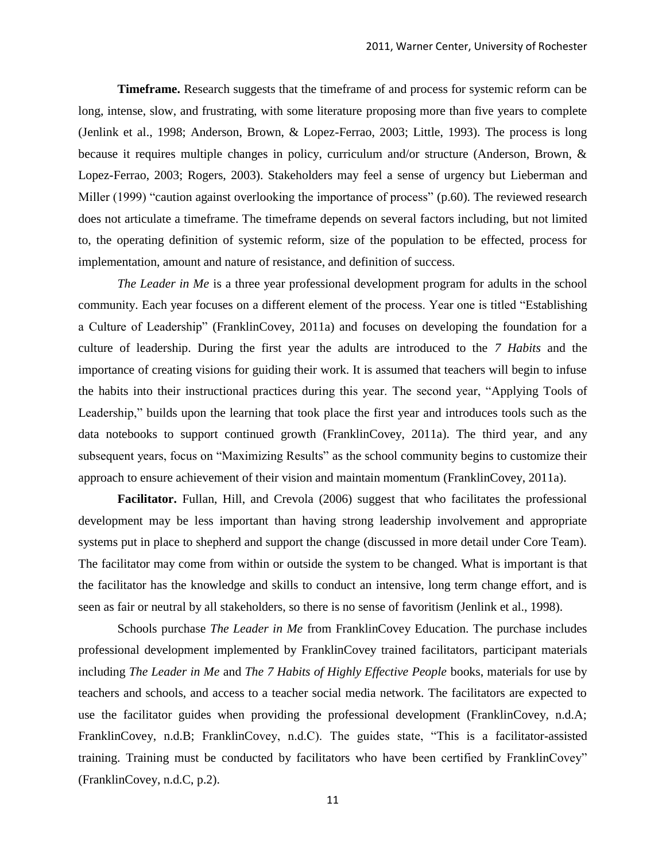**Timeframe.** Research suggests that the timeframe of and process for systemic reform can be long, intense, slow, and frustrating, with some literature proposing more than five years to complete (Jenlink et al., 1998; Anderson, Brown, & Lopez-Ferrao, 2003; Little, 1993). The process is long because it requires multiple changes in policy, curriculum and/or structure (Anderson, Brown, & Lopez-Ferrao, 2003; Rogers, 2003). Stakeholders may feel a sense of urgency but Lieberman and Miller (1999) "caution against overlooking the importance of process" (p.60). The reviewed research does not articulate a timeframe. The timeframe depends on several factors including, but not limited to, the operating definition of systemic reform, size of the population to be effected, process for implementation, amount and nature of resistance, and definition of success.

*The Leader in Me* is a three year professional development program for adults in the school community. Each year focuses on a different element of the process. Year one is titled "Establishing a Culture of Leadership" (FranklinCovey, 2011a) and focuses on developing the foundation for a culture of leadership. During the first year the adults are introduced to the *7 Habits* and the importance of creating visions for guiding their work. It is assumed that teachers will begin to infuse the habits into their instructional practices during this year. The second year, "Applying Tools of Leadership," builds upon the learning that took place the first year and introduces tools such as the data notebooks to support continued growth (FranklinCovey, 2011a). The third year, and any subsequent years, focus on "Maximizing Results" as the school community begins to customize their approach to ensure achievement of their vision and maintain momentum (FranklinCovey, 2011a).

**Facilitator.** Fullan, Hill, and Crevola (2006) suggest that who facilitates the professional development may be less important than having strong leadership involvement and appropriate systems put in place to shepherd and support the change (discussed in more detail under Core Team). The facilitator may come from within or outside the system to be changed. What is important is that the facilitator has the knowledge and skills to conduct an intensive, long term change effort, and is seen as fair or neutral by all stakeholders, so there is no sense of favoritism (Jenlink et al., 1998).

Schools purchase *The Leader in Me* from FranklinCovey Education. The purchase includes professional development implemented by FranklinCovey trained facilitators, participant materials including *The Leader in Me* and *The 7 Habits of Highly Effective People* books, materials for use by teachers and schools, and access to a teacher social media network. The facilitators are expected to use the facilitator guides when providing the professional development (FranklinCovey, n.d.A; FranklinCovey, n.d.B; FranklinCovey, n.d.C). The guides state, "This is a facilitator-assisted training. Training must be conducted by facilitators who have been certified by FranklinCovey" (FranklinCovey, n.d.C, p.2).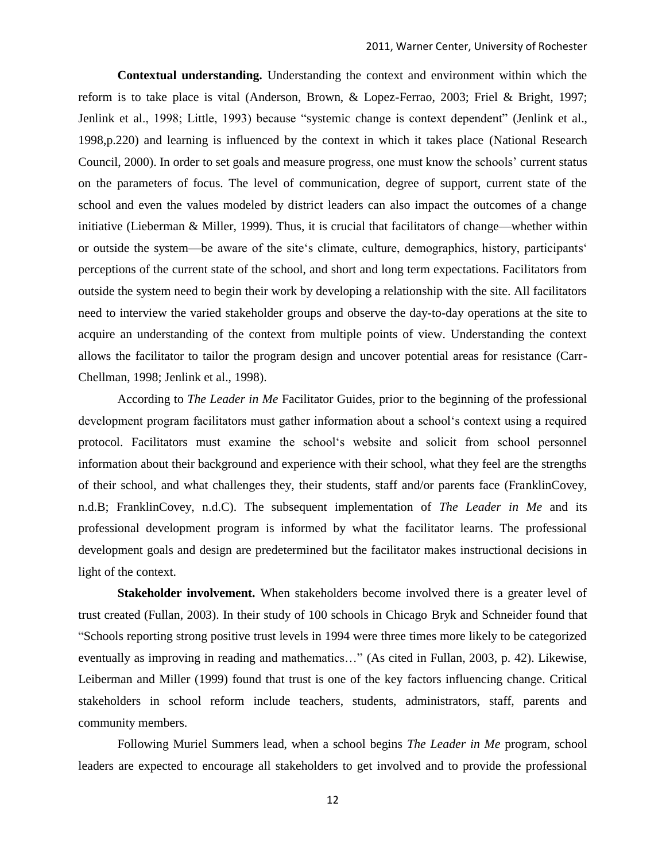**Contextual understanding.** Understanding the context and environment within which the reform is to take place is vital (Anderson, Brown, & Lopez-Ferrao, 2003; Friel & Bright, 1997; Jenlink et al., 1998; Little, 1993) because "systemic change is context dependent" (Jenlink et al., 1998,p.220) and learning is influenced by the context in which it takes place (National Research Council, 2000). In order to set goals and measure progress, one must know the schools' current status on the parameters of focus. The level of communication, degree of support, current state of the school and even the values modeled by district leaders can also impact the outcomes of a change initiative (Lieberman & Miller, 1999). Thus, it is crucial that facilitators of change—whether within or outside the system—be aware of the site's climate, culture, demographics, history, participants<sup>\*</sup> perceptions of the current state of the school, and short and long term expectations. Facilitators from outside the system need to begin their work by developing a relationship with the site. All facilitators need to interview the varied stakeholder groups and observe the day-to-day operations at the site to acquire an understanding of the context from multiple points of view. Understanding the context allows the facilitator to tailor the program design and uncover potential areas for resistance (Carr-Chellman, 1998; Jenlink et al., 1998).

According to *The Leader in Me* Facilitator Guides, prior to the beginning of the professional development program facilitators must gather information about a school's context using a required protocol. Facilitators must examine the school's website and solicit from school personnel information about their background and experience with their school, what they feel are the strengths of their school, and what challenges they, their students, staff and/or parents face (FranklinCovey, n.d.B; FranklinCovey, n.d.C). The subsequent implementation of *The Leader in Me* and its professional development program is informed by what the facilitator learns. The professional development goals and design are predetermined but the facilitator makes instructional decisions in light of the context.

**Stakeholder involvement.** When stakeholders become involved there is a greater level of trust created (Fullan, 2003). In their study of 100 schools in Chicago Bryk and Schneider found that ―Schools reporting strong positive trust levels in 1994 were three times more likely to be categorized eventually as improving in reading and mathematics..." (As cited in Fullan, 2003, p. 42). Likewise, Leiberman and Miller (1999) found that trust is one of the key factors influencing change. Critical stakeholders in school reform include teachers, students, administrators, staff, parents and community members.

Following Muriel Summers lead, when a school begins *The Leader in Me* program, school leaders are expected to encourage all stakeholders to get involved and to provide the professional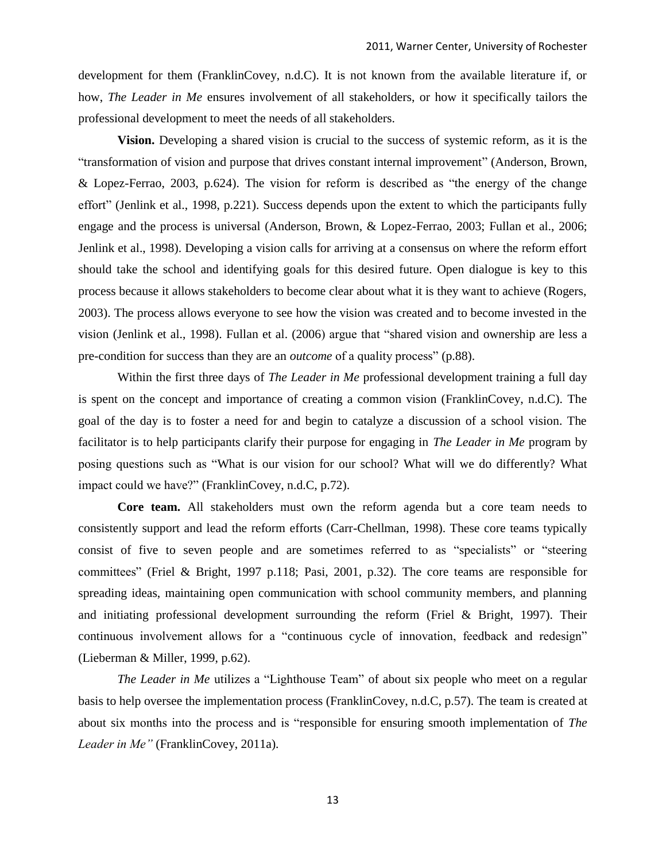development for them (FranklinCovey, n.d.C). It is not known from the available literature if, or how, *The Leader in Me* ensures involvement of all stakeholders, or how it specifically tailors the professional development to meet the needs of all stakeholders.

**Vision.** Developing a shared vision is crucial to the success of systemic reform, as it is the ―transformation of vision and purpose that drives constant internal improvement‖ (Anderson, Brown, & Lopez-Ferrao, 2003, p.624). The vision for reform is described as "the energy of the change effort" (Jenlink et al., 1998, p.221). Success depends upon the extent to which the participants fully engage and the process is universal (Anderson, Brown, & Lopez-Ferrao, 2003; Fullan et al., 2006; Jenlink et al., 1998). Developing a vision calls for arriving at a consensus on where the reform effort should take the school and identifying goals for this desired future. Open dialogue is key to this process because it allows stakeholders to become clear about what it is they want to achieve (Rogers, 2003). The process allows everyone to see how the vision was created and to become invested in the vision (Jenlink et al., 1998). Fullan et al. (2006) argue that "shared vision and ownership are less a pre-condition for success than they are an *outcome* of a quality process" (p.88).

Within the first three days of *The Leader in Me* professional development training a full day is spent on the concept and importance of creating a common vision (FranklinCovey, n.d.C). The goal of the day is to foster a need for and begin to catalyze a discussion of a school vision. The facilitator is to help participants clarify their purpose for engaging in *The Leader in Me* program by posing questions such as "What is our vision for our school? What will we do differently? What impact could we have?" (FranklinCovey, n.d.C, p.72).

**Core team.** All stakeholders must own the reform agenda but a core team needs to consistently support and lead the reform efforts (Carr-Chellman, 1998). These core teams typically consist of five to seven people and are sometimes referred to as "specialists" or "steering committees" (Friel & Bright, 1997 p.118; Pasi, 2001, p.32). The core teams are responsible for spreading ideas, maintaining open communication with school community members, and planning and initiating professional development surrounding the reform (Friel & Bright, 1997). Their continuous involvement allows for a "continuous cycle of innovation, feedback and redesign" (Lieberman & Miller, 1999, p.62).

*The Leader in Me* utilizes a "Lighthouse Team" of about six people who meet on a regular basis to help oversee the implementation process (FranklinCovey, n.d.C, p.57). The team is created at about six months into the process and is "responsible for ensuring smooth implementation of *The Leader in Me"* (FranklinCovey, 2011a)*.*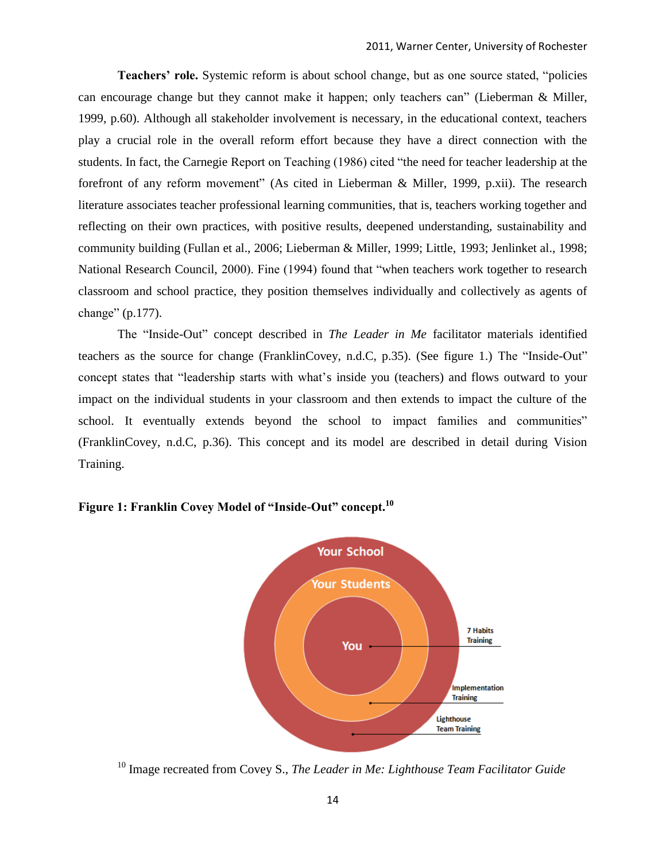**Teachers' role.** Systemic reform is about school change, but as one source stated, "policies can encourage change but they cannot make it happen; only teachers can" (Lieberman  $\&$  Miller, 1999, p.60). Although all stakeholder involvement is necessary, in the educational context, teachers play a crucial role in the overall reform effort because they have a direct connection with the students. In fact, the Carnegie Report on Teaching (1986) cited "the need for teacher leadership at the forefront of any reform movement" (As cited in Lieberman & Miller, 1999, p.xii). The research literature associates teacher professional learning communities, that is, teachers working together and reflecting on their own practices, with positive results, deepened understanding, sustainability and community building (Fullan et al., 2006; Lieberman & Miller, 1999; Little, 1993; Jenlinket al., 1998; National Research Council, 2000). Fine (1994) found that "when teachers work together to research classroom and school practice, they position themselves individually and collectively as agents of change"  $(p.177)$ .

The "Inside-Out" concept described in *The Leader in Me* facilitator materials identified teachers as the source for change (FranklinCovey, n.d.C,  $p.35$ ). (See figure 1.) The "Inside-Out" concept states that "leadership starts with what's inside you (teachers) and flows outward to your impact on the individual students in your classroom and then extends to impact the culture of the school. It eventually extends beyond the school to impact families and communities" (FranklinCovey, n.d.C, p.36). This concept and its model are described in detail during Vision Training.



#### **Figure 1: Franklin Covey Model of "Inside-Out" concept.<sup>10</sup>**

<sup>&</sup>lt;sup>10</sup> Image recreated from Covey S., *The Leader in Me: Lighthouse Team Facilitator Guide*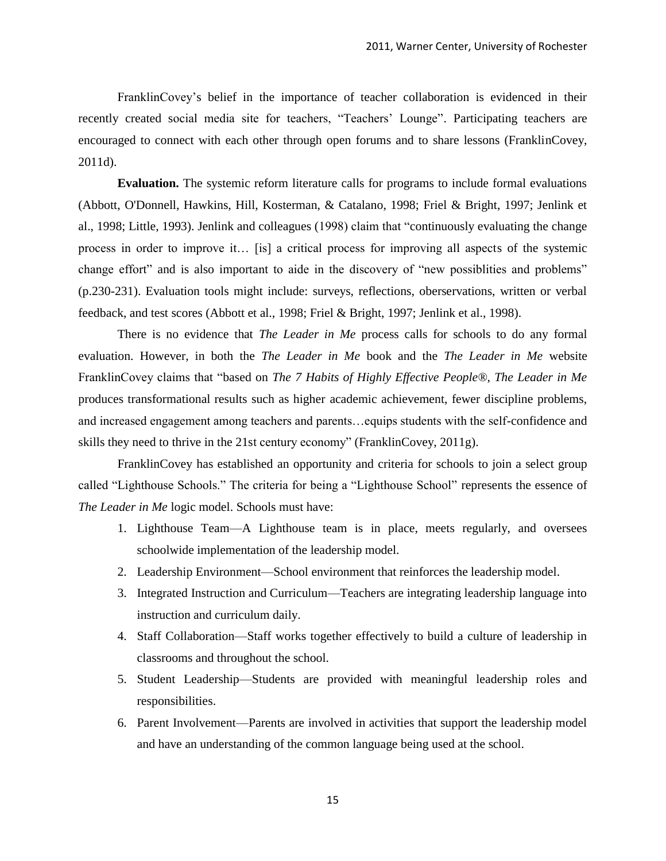FranklinCovey's belief in the importance of teacher collaboration is evidenced in their recently created social media site for teachers, "Teachers' Lounge". Participating teachers are encouraged to connect with each other through open forums and to share lessons (FranklinCovey, 2011d).

**Evaluation.** The systemic reform literature calls for programs to include formal evaluations (Abbott, O'Donnell, Hawkins, Hill, Kosterman, & Catalano, 1998; Friel & Bright, 1997; Jenlink et al., 1998; Little, 1993). Jenlink and colleagues (1998) claim that "continuously evaluating the change process in order to improve it… [is] a critical process for improving all aspects of the systemic change effort" and is also important to aide in the discovery of "new possibilities and problems" (p.230-231). Evaluation tools might include: surveys, reflections, oberservations, written or verbal feedback, and test scores (Abbott et al., 1998; Friel & Bright, 1997; Jenlink et al., 1998).

There is no evidence that *The Leader in Me* process calls for schools to do any formal evaluation. However, in both the *The Leader in Me* book and the *The Leader in Me* website FranklinCovey claims that "based on *The 7 Habits of Highly Effective People®, The Leader in Me* produces transformational results such as higher academic achievement, fewer discipline problems, and increased engagement among teachers and parents…equips students with the self-confidence and skills they need to thrive in the 21st century economy" (FranklinCovey, 2011g).

FranklinCovey has established an opportunity and criteria for schools to join a select group called "Lighthouse Schools." The criteria for being a "Lighthouse School" represents the essence of *The Leader in Me* logic model. Schools must have:

- 1. Lighthouse Team—A Lighthouse team is in place, meets regularly, and oversees schoolwide implementation of the leadership model.
- 2. Leadership Environment—School environment that reinforces the leadership model.
- 3. Integrated Instruction and Curriculum—Teachers are integrating leadership language into instruction and curriculum daily.
- 4. Staff Collaboration—Staff works together effectively to build a culture of leadership in classrooms and throughout the school.
- 5. Student Leadership—Students are provided with meaningful leadership roles and responsibilities.
- 6. Parent Involvement—Parents are involved in activities that support the leadership model and have an understanding of the common language being used at the school.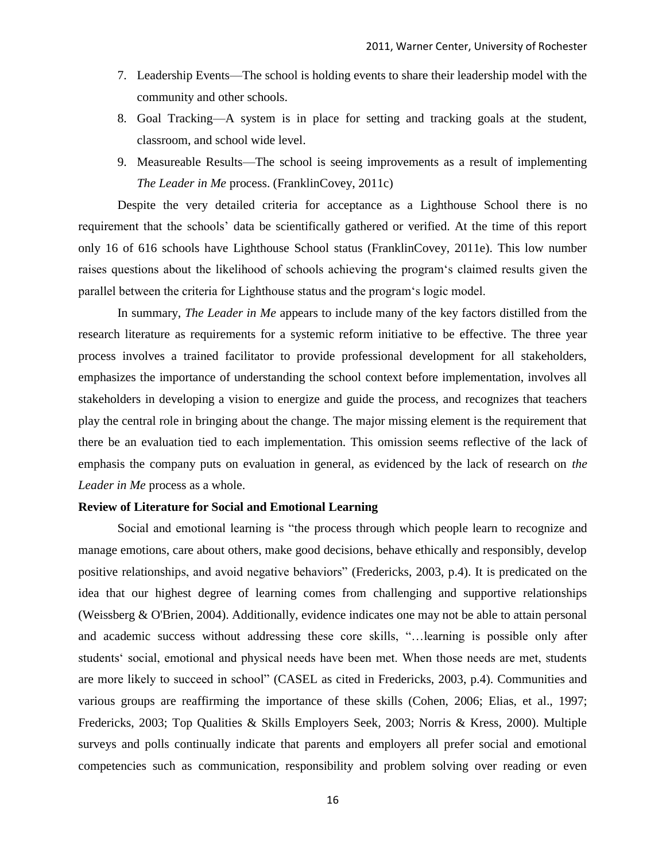- 7. Leadership Events—The school is holding events to share their leadership model with the community and other schools.
- 8. Goal Tracking—A system is in place for setting and tracking goals at the student, classroom, and school wide level.
- 9. Measureable Results—The school is seeing improvements as a result of implementing *The Leader in Me* process. (FranklinCovey, 2011c)

Despite the very detailed criteria for acceptance as a Lighthouse School there is no requirement that the schools' data be scientifically gathered or verified. At the time of this report only 16 of 616 schools have Lighthouse School status (FranklinCovey, 2011e). This low number raises questions about the likelihood of schools achieving the program's claimed results given the parallel between the criteria for Lighthouse status and the program s logic model.

In summary, *The Leader in Me* appears to include many of the key factors distilled from the research literature as requirements for a systemic reform initiative to be effective. The three year process involves a trained facilitator to provide professional development for all stakeholders, emphasizes the importance of understanding the school context before implementation, involves all stakeholders in developing a vision to energize and guide the process, and recognizes that teachers play the central role in bringing about the change. The major missing element is the requirement that there be an evaluation tied to each implementation. This omission seems reflective of the lack of emphasis the company puts on evaluation in general, as evidenced by the lack of research on *the Leader in Me* process as a whole.

#### **Review of Literature for Social and Emotional Learning**

Social and emotional learning is "the process through which people learn to recognize and manage emotions, care about others, make good decisions, behave ethically and responsibly, develop positive relationships, and avoid negative behaviors" (Fredericks, 2003, p.4). It is predicated on the idea that our highest degree of learning comes from challenging and supportive relationships (Weissberg & O'Brien, 2004). Additionally, evidence indicates one may not be able to attain personal and academic success without addressing these core skills, "...learning is possible only after students' social, emotional and physical needs have been met. When those needs are met, students are more likely to succeed in school" (CASEL as cited in Fredericks, 2003, p.4). Communities and various groups are reaffirming the importance of these skills (Cohen, 2006; Elias, et al., 1997; Fredericks, 2003; Top Qualities & Skills Employers Seek, 2003; Norris & Kress, 2000). Multiple surveys and polls continually indicate that parents and employers all prefer social and emotional competencies such as communication, responsibility and problem solving over reading or even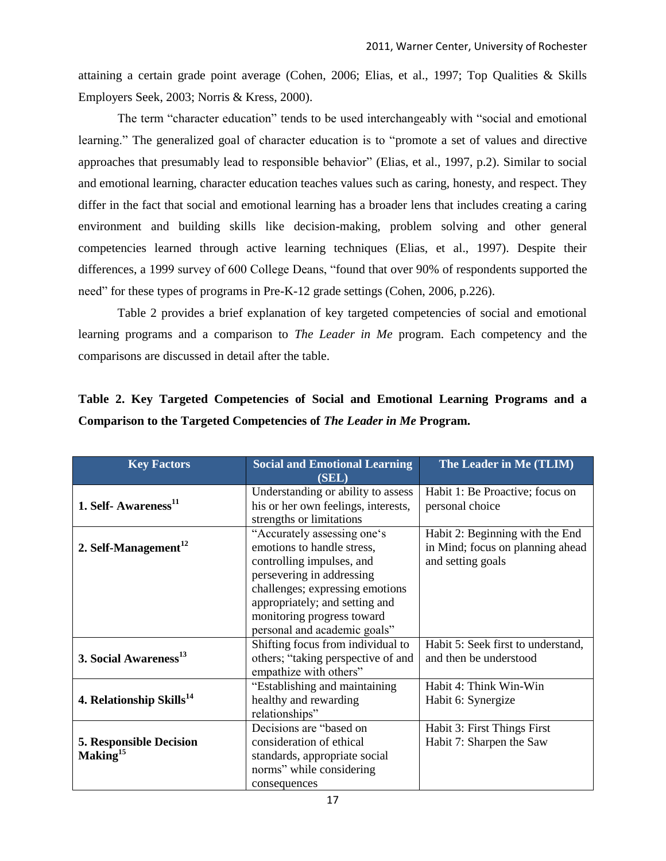attaining a certain grade point average (Cohen, 2006; Elias, et al., 1997; Top Qualities & Skills Employers Seek, 2003; Norris & Kress, 2000).

The term "character education" tends to be used interchangeably with "social and emotional learning." The generalized goal of character education is to "promote a set of values and directive approaches that presumably lead to responsible behavior" (Elias, et al., 1997, p.2). Similar to social and emotional learning, character education teaches values such as caring, honesty, and respect. They differ in the fact that social and emotional learning has a broader lens that includes creating a caring environment and building skills like decision-making, problem solving and other general competencies learned through active learning techniques (Elias, et al., 1997). Despite their differences, a 1999 survey of 600 College Deans, "found that over 90% of respondents supported the need" for these types of programs in Pre-K-12 grade settings (Cohen, 2006, p.226).

Table 2 provides a brief explanation of key targeted competencies of social and emotional learning programs and a comparison to *The Leader in Me* program*.* Each competency and the comparisons are discussed in detail after the table.

| <b>Key Factors</b>                                     | <b>Social and Emotional Learning</b><br>(SEL)                                                                                                                                                                                                          | The Leader in Me (TLIM)                                                                  |
|--------------------------------------------------------|--------------------------------------------------------------------------------------------------------------------------------------------------------------------------------------------------------------------------------------------------------|------------------------------------------------------------------------------------------|
| 1. Self-Awareness <sup>11</sup>                        | Understanding or ability to assess<br>his or her own feelings, interests,<br>strengths or limitations                                                                                                                                                  | Habit 1: Be Proactive; focus on<br>personal choice                                       |
| 2. Self-Management $^{12}$                             | "Accurately assessing one's<br>emotions to handle stress,<br>controlling impulses, and<br>persevering in addressing<br>challenges; expressing emotions<br>appropriately; and setting and<br>monitoring progress toward<br>personal and academic goals" | Habit 2: Beginning with the End<br>in Mind; focus on planning ahead<br>and setting goals |
| 3. Social Awareness <sup>13</sup>                      | Shifting focus from individual to<br>others; "taking perspective of and<br>empathize with others"                                                                                                                                                      | Habit 5: Seek first to understand,<br>and then be understood                             |
| 4. Relationship Skills <sup>14</sup>                   | "Establishing and maintaining<br>healthy and rewarding<br>relationships"                                                                                                                                                                               | Habit 4: Think Win-Win<br>Habit 6: Synergize                                             |
| <b>5. Responsible Decision</b><br>Making <sup>15</sup> | Decisions are "based on<br>consideration of ethical<br>standards, appropriate social<br>norms" while considering<br>consequences                                                                                                                       | Habit 3: First Things First<br>Habit 7: Sharpen the Saw                                  |

|  | Table 2. Key Targeted Competencies of Social and Emotional Learning Programs and a |  |  |  |  |
|--|------------------------------------------------------------------------------------|--|--|--|--|
|  | Comparison to the Targeted Competencies of The Leader in Me Program.               |  |  |  |  |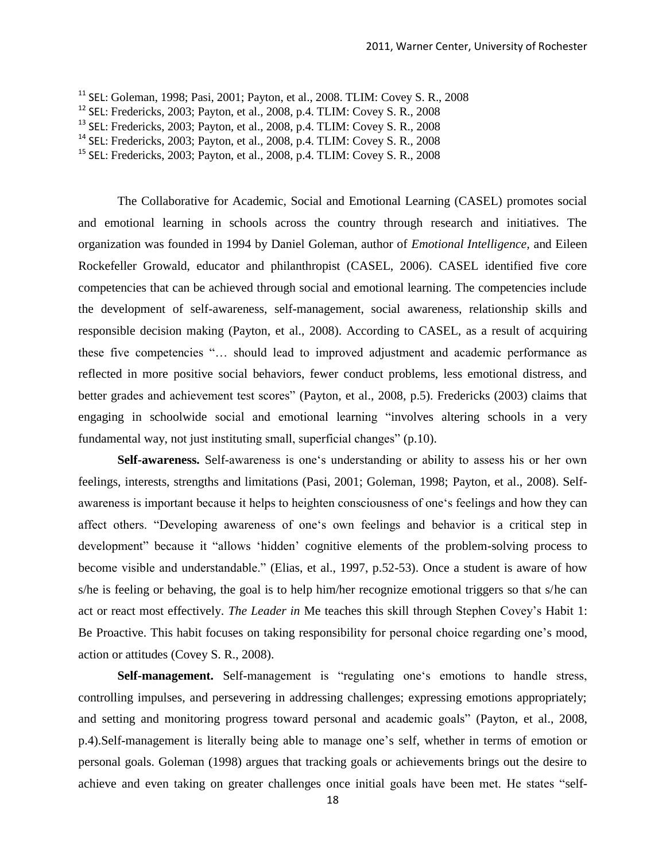<sup>11</sup> SEL: Goleman, 1998; Pasi, 2001; Payton, et al., 2008. TLIM: Covey S. R., 2008

 $12$  SEL: Fredericks, 2003; Payton, et al., 2008, p.4. TLIM: Covey S. R., 2008

<sup>13</sup> SEL: Fredericks, 2003; Payton, et al., 2008, p.4. TLIM: Covey S. R., 2008

<sup>14</sup> SEL: Fredericks, 2003; Payton, et al., 2008, p.4. TLIM: Covey S. R., 2008

<sup>15</sup> SEL: Fredericks, 2003; Payton, et al., 2008, p.4. TLIM: Covey S. R., 2008

The Collaborative for Academic, Social and Emotional Learning (CASEL) promotes social and emotional learning in schools across the country through research and initiatives. The organization was founded in 1994 by Daniel Goleman, author of *Emotional Intelligence,* and Eileen Rockefeller Growald, educator and philanthropist (CASEL, 2006). CASEL identified five core competencies that can be achieved through social and emotional learning. The competencies include the development of self-awareness, self-management, social awareness, relationship skills and responsible decision making (Payton, et al., 2008). According to CASEL, as a result of acquiring these five competencies "... should lead to improved adjustment and academic performance as reflected in more positive social behaviors, fewer conduct problems, less emotional distress, and better grades and achievement test scores" (Payton, et al., 2008, p.5). Fredericks (2003) claims that engaging in schoolwide social and emotional learning "involves altering schools in a very fundamental way, not just instituting small, superficial changes"  $(p.10)$ .

Self-awareness. Self-awareness is one's understanding or ability to assess his or her own feelings, interests, strengths and limitations (Pasi, 2001; Goleman, 1998; Payton, et al., 2008). Selfawareness is important because it helps to heighten consciousness of one's feelings and how they can affect others. "Developing awareness of one's own feelings and behavior is a critical step in development" because it "allows 'hidden' cognitive elements of the problem-solving process to become visible and understandable." (Elias, et al., 1997, p.52-53). Once a student is aware of how s/he is feeling or behaving, the goal is to help him/her recognize emotional triggers so that s/he can act or react most effectively. *The Leader in* Me teaches this skill through Stephen Covey's Habit 1: Be Proactive. This habit focuses on taking responsibility for personal choice regarding one's mood, action or attitudes (Covey S. R., 2008).

Self-management. Self-management is "regulating one's emotions to handle stress, controlling impulses, and persevering in addressing challenges; expressing emotions appropriately; and setting and monitoring progress toward personal and academic goals" (Payton, et al., 2008, p.4).Self-management is literally being able to manage one's self, whether in terms of emotion or personal goals. Goleman (1998) argues that tracking goals or achievements brings out the desire to achieve and even taking on greater challenges once initial goals have been met. He states "self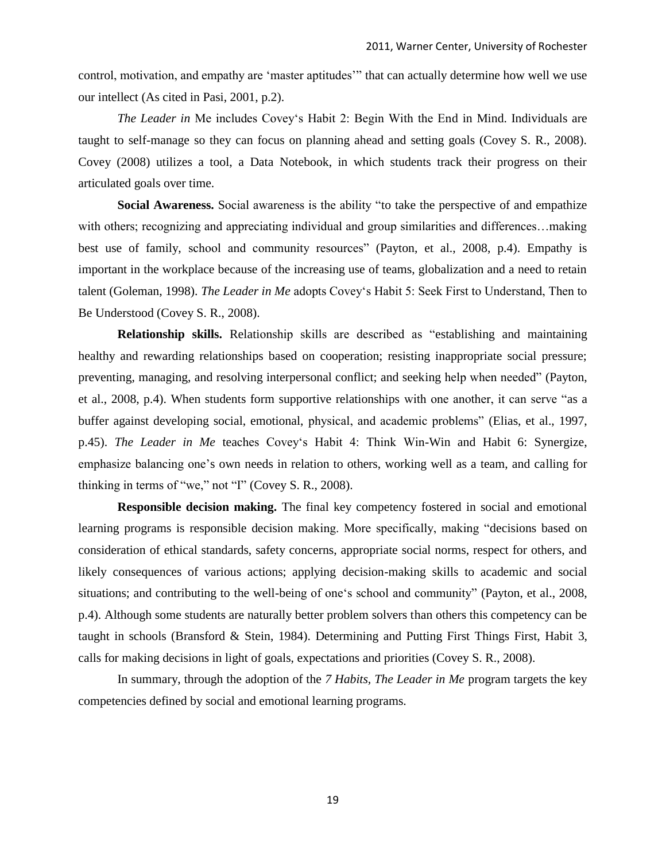control, motivation, and empathy are 'master aptitudes'" that can actually determine how well we use our intellect (As cited in Pasi, 2001, p.2).

*The Leader in* Me includes Covey's Habit 2: Begin With the End in Mind. Individuals are taught to self-manage so they can focus on planning ahead and setting goals (Covey S. R., 2008). Covey (2008) utilizes a tool, a Data Notebook, in which students track their progress on their articulated goals over time.

**Social Awareness.** Social awareness is the ability "to take the perspective of and empathize with others; recognizing and appreciating individual and group similarities and differences...making best use of family, school and community resources" (Payton, et al., 2008, p.4). Empathy is important in the workplace because of the increasing use of teams, globalization and a need to retain talent (Goleman, 1998). *The Leader in Me* adopts Covey's Habit 5: Seek First to Understand, Then to Be Understood (Covey S. R., 2008).

**Relationship skills.** Relationship skills are described as "establishing and maintaining healthy and rewarding relationships based on cooperation; resisting inappropriate social pressure; preventing, managing, and resolving interpersonal conflict; and seeking help when needed" (Payton, et al., 2008, p.4). When students form supportive relationships with one another, it can serve "as a buffer against developing social, emotional, physical, and academic problems" (Elias, et al., 1997, p.45). *The Leader in Me* teaches Covey's Habit 4: Think Win-Win and Habit 6: Synergize, emphasize balancing one's own needs in relation to others, working well as a team, and calling for thinking in terms of "we," not " $\Gamma$ " (Covey S. R., 2008).

**Responsible decision making.** The final key competency fostered in social and emotional learning programs is responsible decision making. More specifically, making "decisions based on consideration of ethical standards, safety concerns, appropriate social norms, respect for others, and likely consequences of various actions; applying decision-making skills to academic and social situations; and contributing to the well-being of one's school and community" (Payton, et al., 2008, p.4). Although some students are naturally better problem solvers than others this competency can be taught in schools (Bransford & Stein, 1984). Determining and Putting First Things First, Habit 3, calls for making decisions in light of goals, expectations and priorities (Covey S. R., 2008).

In summary, through the adoption of the *7 Habits, The Leader in Me* program targets the key competencies defined by social and emotional learning programs.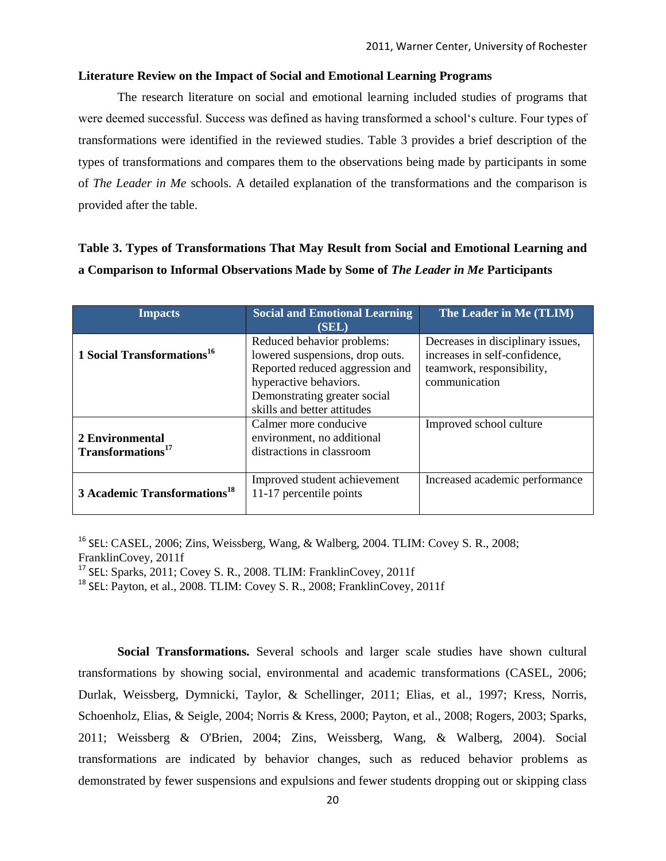#### **Literature Review on the Impact of Social and Emotional Learning Programs**

The research literature on social and emotional learning included studies of programs that were deemed successful. Success was defined as having transformed a school‗s culture. Four types of transformations were identified in the reviewed studies. Table 3 provides a brief description of the types of transformations and compares them to the observations being made by participants in some of *The Leader in Me* schools. A detailed explanation of the transformations and the comparison is provided after the table.

### **Table 3. Types of Transformations That May Result from Social and Emotional Learning and a Comparison to Informal Observations Made by Some of** *The Leader in Me* **Participants**

| <b>Impacts</b>                                   | <b>Social and Emotional Learning</b><br>(SEL)                                                                                                                                             | The Leader in Me (TLIM)                                                                                          |
|--------------------------------------------------|-------------------------------------------------------------------------------------------------------------------------------------------------------------------------------------------|------------------------------------------------------------------------------------------------------------------|
| 1 Social Transformations <sup>16</sup>           | Reduced behavior problems:<br>lowered suspensions, drop outs.<br>Reported reduced aggression and<br>hyperactive behaviors.<br>Demonstrating greater social<br>skills and better attitudes | Decreases in disciplinary issues,<br>increases in self-confidence,<br>teamwork, responsibility,<br>communication |
| 2 Environmental<br>Transformations <sup>17</sup> | Calmer more conducive<br>environment, no additional<br>distractions in classroom                                                                                                          | Improved school culture                                                                                          |
| 3 Academic Transformations <sup>18</sup>         | Improved student achievement<br>11-17 percentile points                                                                                                                                   | Increased academic performance                                                                                   |

<sup>16</sup> SEL: CASEL, 2006; Zins, Weissberg, Wang, & Walberg, 2004. TLIM: Covey S. R., 2008; FranklinCovey, 2011f

<sup>17</sup> SEL: Sparks, 2011; Covey S. R., 2008. TLIM: FranklinCovey, 2011f

<sup>18</sup> SEL: Payton, et al., 2008. TLIM: Covey S. R., 2008; FranklinCovey, 2011f

**Social Transformations.** Several schools and larger scale studies have shown cultural transformations by showing social, environmental and academic transformations (CASEL, 2006; Durlak, Weissberg, Dymnicki, Taylor, & Schellinger, 2011; Elias, et al., 1997; Kress, Norris, Schoenholz, Elias, & Seigle, 2004; Norris & Kress, 2000; Payton, et al., 2008; Rogers, 2003; Sparks, 2011; Weissberg & O'Brien, 2004; Zins, Weissberg, Wang, & Walberg, 2004). Social transformations are indicated by behavior changes, such as reduced behavior problems as demonstrated by fewer suspensions and expulsions and fewer students dropping out or skipping class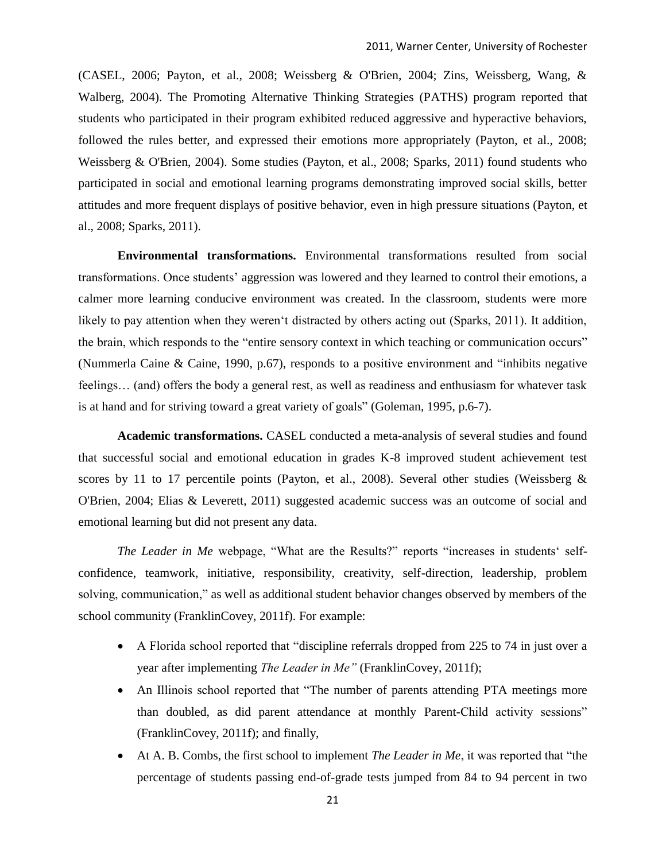(CASEL, 2006; Payton, et al., 2008; Weissberg & O'Brien, 2004; Zins, Weissberg, Wang, & Walberg, 2004). The Promoting Alternative Thinking Strategies (PATHS) program reported that students who participated in their program exhibited reduced aggressive and hyperactive behaviors, followed the rules better, and expressed their emotions more appropriately (Payton, et al., 2008; Weissberg & O'Brien, 2004). Some studies (Payton, et al., 2008; Sparks, 2011) found students who participated in social and emotional learning programs demonstrating improved social skills, better attitudes and more frequent displays of positive behavior, even in high pressure situations (Payton, et al., 2008; Sparks, 2011).

**Environmental transformations.** Environmental transformations resulted from social transformations. Once students' aggression was lowered and they learned to control their emotions, a calmer more learning conducive environment was created. In the classroom, students were more likely to pay attention when they weren't distracted by others acting out (Sparks, 2011). It addition, the brain, which responds to the "entire sensory context in which teaching or communication occurs" (Nummerla Caine & Caine, 1990, p.67), responds to a positive environment and "inhibits negative feelings… (and) offers the body a general rest, as well as readiness and enthusiasm for whatever task is at hand and for striving toward a great variety of goals" (Goleman, 1995, p.6-7).

**Academic transformations.** CASEL conducted a meta-analysis of several studies and found that successful social and emotional education in grades K-8 improved student achievement test scores by 11 to 17 percentile points (Payton, et al., 2008). Several other studies (Weissberg  $\&$ O'Brien, 2004; Elias & Leverett, 2011) suggested academic success was an outcome of social and emotional learning but did not present any data.

*The Leader in Me* webpage, "What are the Results?" reports "increases in students' selfconfidence, teamwork, initiative, responsibility, creativity, self-direction, leadership, problem solving, communication," as well as additional student behavior changes observed by members of the school community (FranklinCovey, 2011f). For example:

- $\bullet$  A Florida school reported that "discipline referrals dropped from 225 to 74 in just over a year after implementing *The Leader in Me"* (FranklinCovey, 2011f);
- An Illinois school reported that "The number of parents attending PTA meetings more than doubled, as did parent attendance at monthly Parent-Child activity sessions" (FranklinCovey, 2011f); and finally,
- At A. B. Combs, the first school to implement *The Leader in Me*, it was reported that "the percentage of students passing end-of-grade tests jumped from 84 to 94 percent in two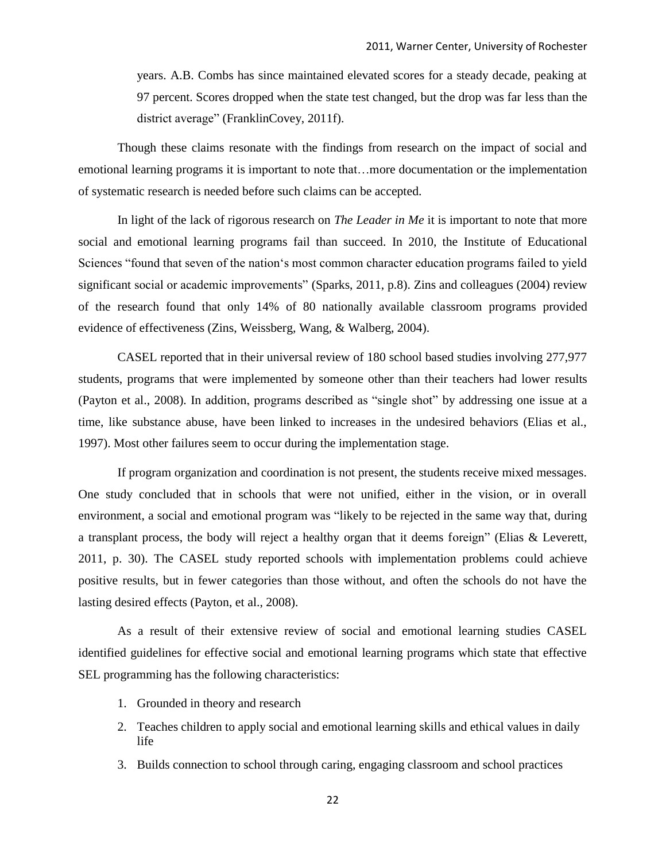years. A.B. Combs has since maintained elevated scores for a steady decade, peaking at 97 percent. Scores dropped when the state test changed, but the drop was far less than the district average" (FranklinCovey, 2011f).

Though these claims resonate with the findings from research on the impact of social and emotional learning programs it is important to note that…more documentation or the implementation of systematic research is needed before such claims can be accepted.

In light of the lack of rigorous research on *The Leader in Me* it is important to note that more social and emotional learning programs fail than succeed. In 2010, the Institute of Educational Sciences "found that seven of the nation's most common character education programs failed to yield significant social or academic improvements" (Sparks, 2011, p.8). Zins and colleagues (2004) review of the research found that only 14% of 80 nationally available classroom programs provided evidence of effectiveness (Zins, Weissberg, Wang, & Walberg, 2004).

CASEL reported that in their universal review of 180 school based studies involving 277,977 students, programs that were implemented by someone other than their teachers had lower results (Payton et al., 2008). In addition, programs described as "single shot" by addressing one issue at a time, like substance abuse, have been linked to increases in the undesired behaviors (Elias et al., 1997). Most other failures seem to occur during the implementation stage.

If program organization and coordination is not present, the students receive mixed messages. One study concluded that in schools that were not unified, either in the vision, or in overall environment, a social and emotional program was "likely to be rejected in the same way that, during a transplant process, the body will reject a healthy organ that it deems foreign" (Elias  $&$  Leverett, 2011, p. 30). The CASEL study reported schools with implementation problems could achieve positive results, but in fewer categories than those without, and often the schools do not have the lasting desired effects (Payton, et al., 2008).

As a result of their extensive review of social and emotional learning studies CASEL identified guidelines for effective social and emotional learning programs which state that effective SEL programming has the following characteristics:

- 1. Grounded in theory and research
- 2. Teaches children to apply social and emotional learning skills and ethical values in daily life
- 3. Builds connection to school through caring, engaging classroom and school practices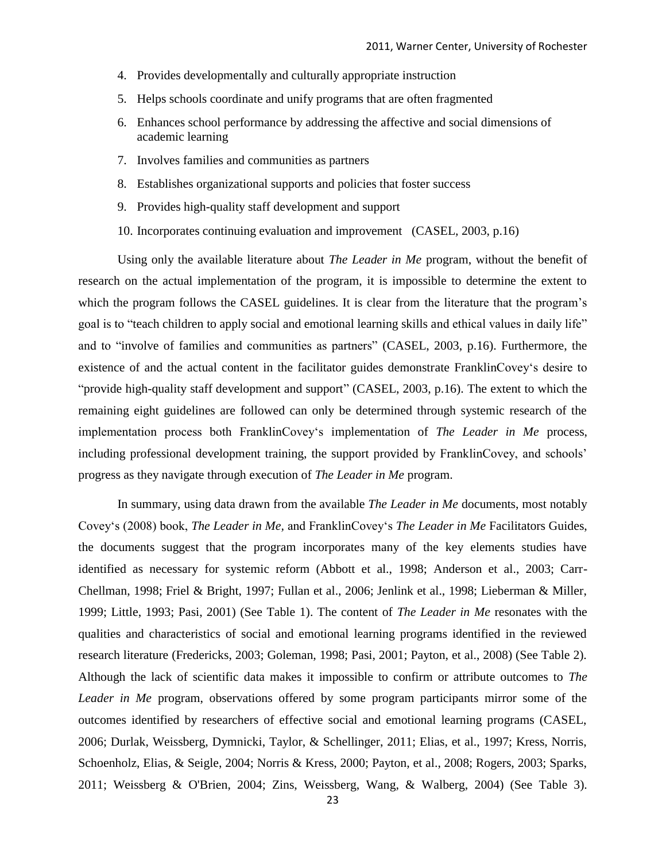- 4. Provides developmentally and culturally appropriate instruction
- 5. Helps schools coordinate and unify programs that are often fragmented
- 6. Enhances school performance by addressing the affective and social dimensions of academic learning
- 7. Involves families and communities as partners
- 8. Establishes organizational supports and policies that foster success
- 9. Provides high-quality staff development and support
- 10. Incorporates continuing evaluation and improvement (CASEL*,* 2003, p.16)

Using only the available literature about *The Leader in Me* program, without the benefit of research on the actual implementation of the program, it is impossible to determine the extent to which the program follows the CASEL guidelines. It is clear from the literature that the program's goal is to "teach children to apply social and emotional learning skills and ethical values in daily life" and to "involve of families and communities as partners" (CASEL, 2003, p.16). Furthermore, the existence of and the actual content in the facilitator guides demonstrate FranklinCovey's desire to "provide high-quality staff development and support" (CASEL, 2003, p.16). The extent to which the remaining eight guidelines are followed can only be determined through systemic research of the implementation process both FranklinCovey's implementation of *The Leader in Me* process, including professional development training, the support provided by FranklinCovey, and schools' progress as they navigate through execution of *The Leader in Me* program.

In summary, using data drawn from the available *The Leader in Me* documents, most notably Covey‗s (2008) book, *The Leader in Me,* and FranklinCovey‗s *The Leader in Me* Facilitators Guides, the documents suggest that the program incorporates many of the key elements studies have identified as necessary for systemic reform (Abbott et al., 1998; Anderson et al., 2003; Carr-Chellman, 1998; Friel & Bright, 1997; Fullan et al., 2006; Jenlink et al., 1998; Lieberman & Miller, 1999; Little, 1993; Pasi, 2001) (See Table 1). The content of *The Leader in Me* resonates with the qualities and characteristics of social and emotional learning programs identified in the reviewed research literature (Fredericks, 2003; Goleman, 1998; Pasi, 2001; Payton, et al., 2008) (See Table 2). Although the lack of scientific data makes it impossible to confirm or attribute outcomes to *The Leader in Me* program, observations offered by some program participants mirror some of the outcomes identified by researchers of effective social and emotional learning programs (CASEL, 2006; Durlak, Weissberg, Dymnicki, Taylor, & Schellinger, 2011; Elias, et al., 1997; Kress, Norris, Schoenholz, Elias, & Seigle, 2004; Norris & Kress, 2000; Payton, et al., 2008; Rogers, 2003; Sparks, 2011; Weissberg & O'Brien, 2004; Zins, Weissberg, Wang, & Walberg, 2004) (See Table 3).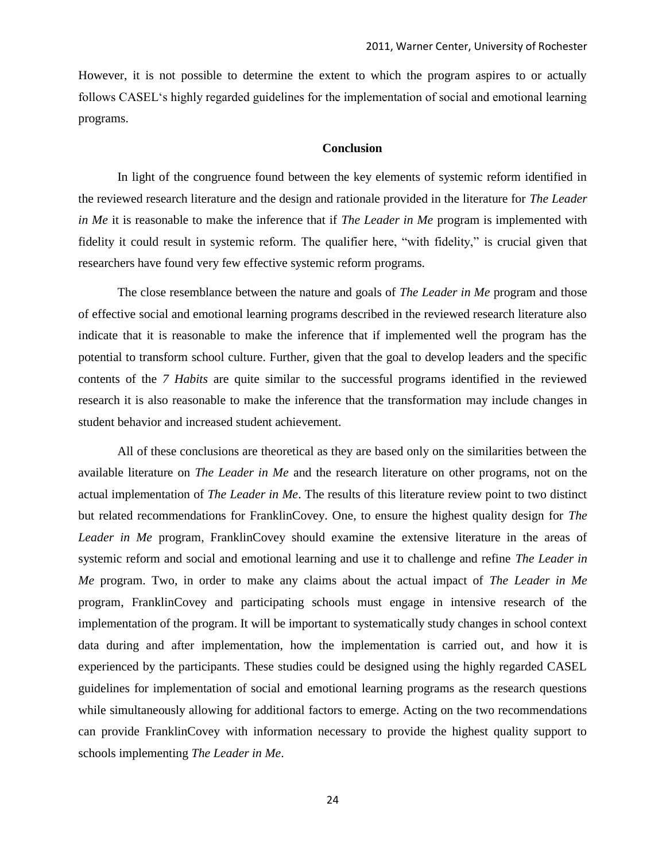However, it is not possible to determine the extent to which the program aspires to or actually follows CASEL‗s highly regarded guidelines for the implementation of social and emotional learning programs.

#### **Conclusion**

In light of the congruence found between the key elements of systemic reform identified in the reviewed research literature and the design and rationale provided in the literature for *The Leader in Me* it is reasonable to make the inference that if *The Leader in Me* program is implemented with fidelity it could result in systemic reform. The qualifier here, "with fidelity," is crucial given that researchers have found very few effective systemic reform programs.

The close resemblance between the nature and goals of *The Leader in Me* program and those of effective social and emotional learning programs described in the reviewed research literature also indicate that it is reasonable to make the inference that if implemented well the program has the potential to transform school culture. Further, given that the goal to develop leaders and the specific contents of the *7 Habits* are quite similar to the successful programs identified in the reviewed research it is also reasonable to make the inference that the transformation may include changes in student behavior and increased student achievement.

All of these conclusions are theoretical as they are based only on the similarities between the available literature on *The Leader in Me* and the research literature on other programs, not on the actual implementation of *The Leader in Me*. The results of this literature review point to two distinct but related recommendations for FranklinCovey. One, to ensure the highest quality design for *The Leader in Me* program, FranklinCovey should examine the extensive literature in the areas of systemic reform and social and emotional learning and use it to challenge and refine *The Leader in Me* program. Two, in order to make any claims about the actual impact of *The Leader in Me*  program, FranklinCovey and participating schools must engage in intensive research of the implementation of the program. It will be important to systematically study changes in school context data during and after implementation, how the implementation is carried out, and how it is experienced by the participants. These studies could be designed using the highly regarded CASEL guidelines for implementation of social and emotional learning programs as the research questions while simultaneously allowing for additional factors to emerge. Acting on the two recommendations can provide FranklinCovey with information necessary to provide the highest quality support to schools implementing *The Leader in Me*.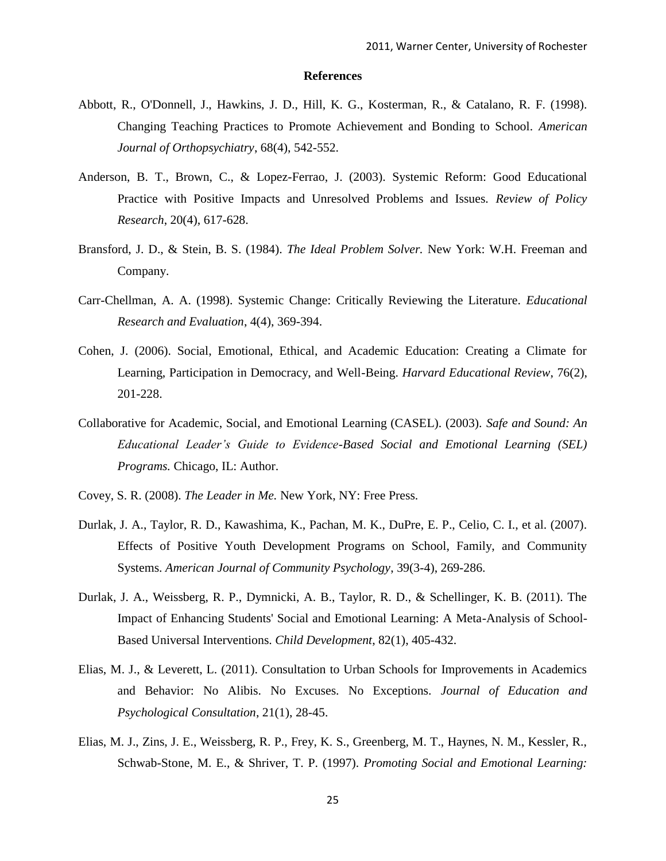#### **References**

- Abbott, R., O'Donnell, J., Hawkins, J. D., Hill, K. G., Kosterman, R., & Catalano, R. F. (1998). Changing Teaching Practices to Promote Achievement and Bonding to School. *American Journal of Orthopsychiatry*, 68(4), 542-552.
- Anderson, B. T., Brown, C., & Lopez-Ferrao, J. (2003). Systemic Reform: Good Educational Practice with Positive Impacts and Unresolved Problems and Issues. *Review of Policy Research*, 20(4), 617-628.
- Bransford, J. D., & Stein, B. S. (1984). *The Ideal Problem Solver.* New York: W.H. Freeman and Company.
- Carr-Chellman, A. A. (1998). Systemic Change: Critically Reviewing the Literature. *Educational Research and Evaluation*, 4(4), 369-394.
- Cohen, J. (2006). Social, Emotional, Ethical, and Academic Education: Creating a Climate for Learning, Participation in Democracy, and Well-Being. *Harvard Educational Review*, 76(2), 201-228.
- Collaborative for Academic, Social, and Emotional Learning (CASEL). (2003). *Safe and Sound: An Educational Leader's Guide to Evidence-Based Social and Emotional Learning (SEL) Programs.* Chicago, IL: Author.
- Covey, S. R. (2008). *The Leader in Me.* New York, NY: Free Press.
- Durlak, J. A., Taylor, R. D., Kawashima, K., Pachan, M. K., DuPre, E. P., Celio, C. I., et al. (2007). Effects of Positive Youth Development Programs on School, Family, and Community Systems. *American Journal of Community Psychology*, 39(3-4), 269-286.
- Durlak, J. A., Weissberg, R. P., Dymnicki, A. B., Taylor, R. D., & Schellinger, K. B. (2011). The Impact of Enhancing Students' Social and Emotional Learning: A Meta-Analysis of School-Based Universal Interventions. *Child Development*, 82(1), 405-432.
- Elias, M. J., & Leverett, L. (2011). Consultation to Urban Schools for Improvements in Academics and Behavior: No Alibis. No Excuses. No Exceptions. *Journal of Education and Psychological Consultation*, 21(1), 28-45.
- Elias, M. J., Zins, J. E., Weissberg, R. P., Frey, K. S., Greenberg, M. T., Haynes, N. M., Kessler, R., Schwab-Stone, M. E., & Shriver, T. P. (1997). *Promoting Social and Emotional Learning:*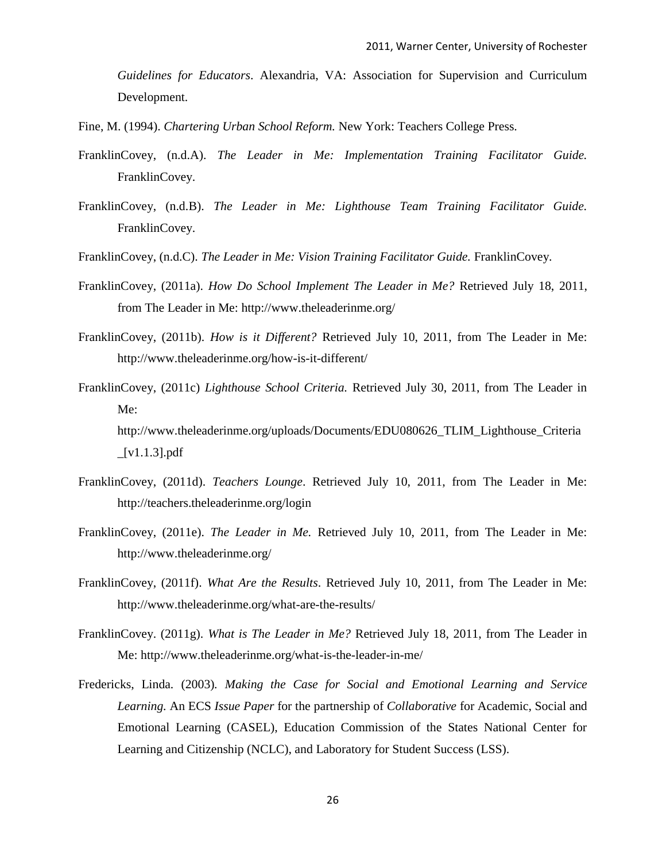*Guidelines for Educators*. Alexandria, VA: Association for Supervision and Curriculum Development.

- Fine, M. (1994). *Chartering Urban School Reform.* New York: Teachers College Press.
- FranklinCovey, (n.d.A). *The Leader in Me: Implementation Training Facilitator Guide.*  FranklinCovey.
- FranklinCovey, (n.d.B). *The Leader in Me: Lighthouse Team Training Facilitator Guide.*  FranklinCovey.
- FranklinCovey, (n.d.C). *The Leader in Me: Vision Training Facilitator Guide*. FranklinCovey.
- FranklinCovey, (2011a). *How Do School Implement The Leader in Me?* Retrieved July 18, 2011, from The Leader in Me: http://www.theleaderinme.org/
- FranklinCovey, (2011b). *How is it Different?* Retrieved July 10, 2011, from The Leader in Me: http://www.theleaderinme.org/how-is-it-different/
- FranklinCovey, (2011c) *Lighthouse School Criteria.* Retrieved July 30, 2011, from The Leader in Me: http://www.theleaderinme.org/uploads/Documents/EDU080626\_TLIM\_Lighthouse\_Criteria  $[V1.1.3]$ .pdf
- FranklinCovey, (2011d). *Teachers Lounge*. Retrieved July 10, 2011, from The Leader in Me: http://teachers.theleaderinme.org/login
- FranklinCovey, (2011e). *The Leader in Me.* Retrieved July 10, 2011, from The Leader in Me: http://www.theleaderinme.org/
- FranklinCovey, (2011f). *What Are the Results*. Retrieved July 10, 2011, from The Leader in Me: http://www.theleaderinme.org/what-are-the-results/
- FranklinCovey. (2011g). *What is The Leader in Me?* Retrieved July 18, 2011, from The Leader in Me: http://www.theleaderinme.org/what-is-the-leader-in-me/
- Fredericks, Linda*.* (2003)*. Making the Case for Social and Emotional Learning and Service Learning.* An ECS *Issue Paper* for the partnership of *Collaborative* for Academic, Social and Emotional Learning (CASEL), Education Commission of the States National Center for Learning and Citizenship (NCLC), and Laboratory for Student Success (LSS).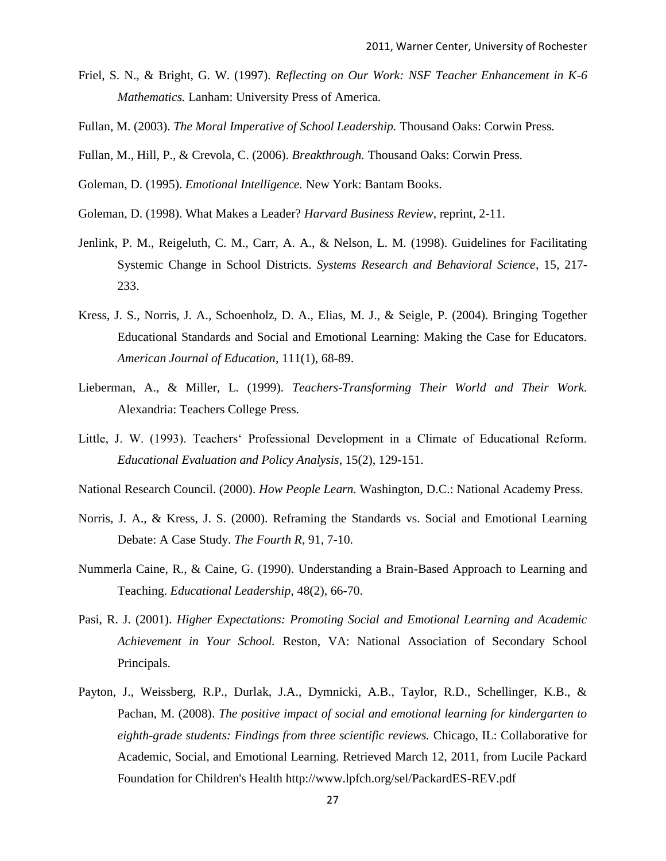- Friel, S. N., & Bright, G. W. (1997). *Reflecting on Our Work: NSF Teacher Enhancement in K-6 Mathematics.* Lanham: University Press of America.
- Fullan, M. (2003). *The Moral Imperative of School Leadership.* Thousand Oaks: Corwin Press.
- Fullan, M., Hill, P., & Crevola, C. (2006). *Breakthrough.* Thousand Oaks: Corwin Press.

Goleman, D. (1995). *Emotional Intelligence.* New York: Bantam Books.

- Goleman, D. (1998). What Makes a Leader? *Harvard Business Review*, reprint, 2-11.
- Jenlink, P. M., Reigeluth, C. M., Carr, A. A., & Nelson, L. M. (1998). Guidelines for Facilitating Systemic Change in School Districts. *Systems Research and Behavioral Science*, 15, 217- 233.
- Kress, J. S., Norris, J. A., Schoenholz, D. A., Elias, M. J., & Seigle, P. (2004). Bringing Together Educational Standards and Social and Emotional Learning: Making the Case for Educators. *American Journal of Education*, 111(1), 68-89.
- Lieberman, A., & Miller, L. (1999). *Teachers-Transforming Their World and Their Work.*  Alexandria: Teachers College Press.
- Little, J. W. (1993). Teachers' Professional Development in a Climate of Educational Reform. *Educational Evaluation and Policy Analysis*, 15(2), 129-151.
- National Research Council. (2000). *How People Learn.* Washington, D.C.: National Academy Press.
- Norris, J. A., & Kress, J. S. (2000). Reframing the Standards vs. Social and Emotional Learning Debate: A Case Study. *The Fourth R*, 91, 7-10.
- Nummerla Caine, R., & Caine, G. (1990). Understanding a Brain-Based Approach to Learning and Teaching. *Educational Leadership*, 48(2), 66-70.
- Pasi, R. J. (2001). *Higher Expectations: Promoting Social and Emotional Learning and Academic Achievement in Your School.* Reston, VA: National Association of Secondary School Principals.
- Payton, J., Weissberg, R.P., Durlak, J.A., Dymnicki, A.B., Taylor, R.D., Schellinger, K.B., & Pachan, M. (2008). *The positive impact of social and emotional learning for kindergarten to eighth-grade students: Findings from three scientific reviews.* Chicago, IL: Collaborative for Academic, Social, and Emotional Learning. Retrieved March 12, 2011, from Lucile Packard Foundation for Children's Health http://www.lpfch.org/sel/PackardES-REV.pdf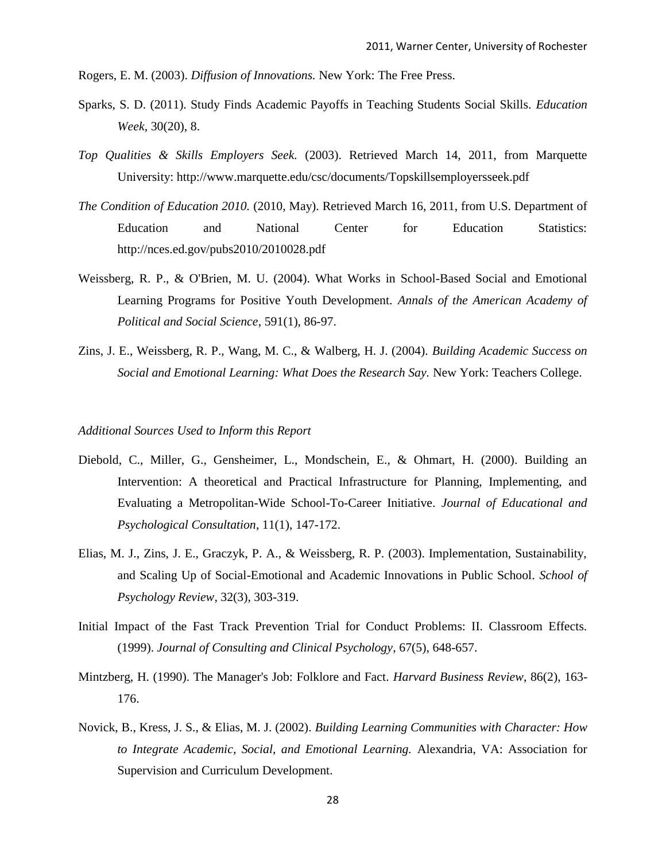Rogers, E. M. (2003). *Diffusion of Innovations.* New York: The Free Press.

- Sparks, S. D. (2011). Study Finds Academic Payoffs in Teaching Students Social Skills. *Education Week*, 30(20), 8.
- *Top Qualities & Skills Employers Seek.* (2003). Retrieved March 14, 2011, from Marquette University: http://www.marquette.edu/csc/documents/Topskillsemployersseek.pdf
- *The Condition of Education 2010.* (2010, May). Retrieved March 16, 2011, from U.S. Department of Education and National Center for Education Statistics: http://nces.ed.gov/pubs2010/2010028.pdf
- Weissberg, R. P., & O'Brien, M. U. (2004). What Works in School-Based Social and Emotional Learning Programs for Positive Youth Development. *Annals of the American Academy of Political and Social Science*, 591(1), 86-97.
- Zins, J. E., Weissberg, R. P., Wang, M. C., & Walberg, H. J. (2004). *Building Academic Success on Social and Emotional Learning: What Does the Research Say.* New York: Teachers College.

#### *Additional Sources Used to Inform this Report*

- Diebold, C., Miller, G., Gensheimer, L., Mondschein, E., & Ohmart, H. (2000). Building an Intervention: A theoretical and Practical Infrastructure for Planning, Implementing, and Evaluating a Metropolitan-Wide School-To-Career Initiative. *Journal of Educational and Psychological Consultation*, 11(1), 147-172.
- Elias, M. J., Zins, J. E., Graczyk, P. A., & Weissberg, R. P. (2003). Implementation, Sustainability, and Scaling Up of Social-Emotional and Academic Innovations in Public School. *School of Psychology Review*, 32(3), 303-319.
- Initial Impact of the Fast Track Prevention Trial for Conduct Problems: II. Classroom Effects. (1999). *Journal of Consulting and Clinical Psychology*, 67(5), 648-657.
- Mintzberg, H. (1990). The Manager's Job: Folklore and Fact. *Harvard Business Review*, 86(2), 163- 176.
- Novick, B., Kress, J. S., & Elias, M. J. (2002). *Building Learning Communities with Character: How to Integrate Academic, Social, and Emotional Learning.* Alexandria, VA: Association for Supervision and Curriculum Development.